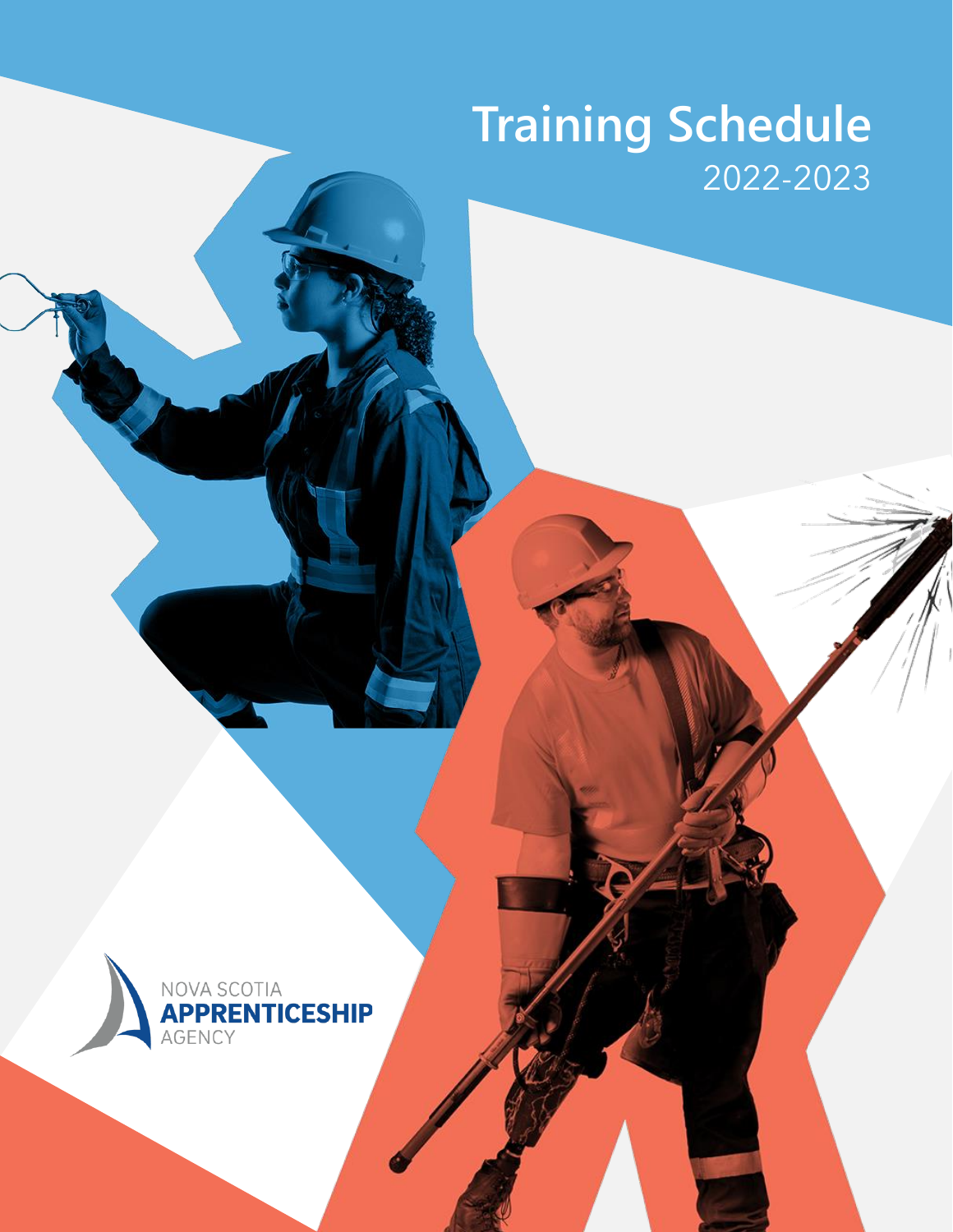# **Training Schedule** 2022-2023

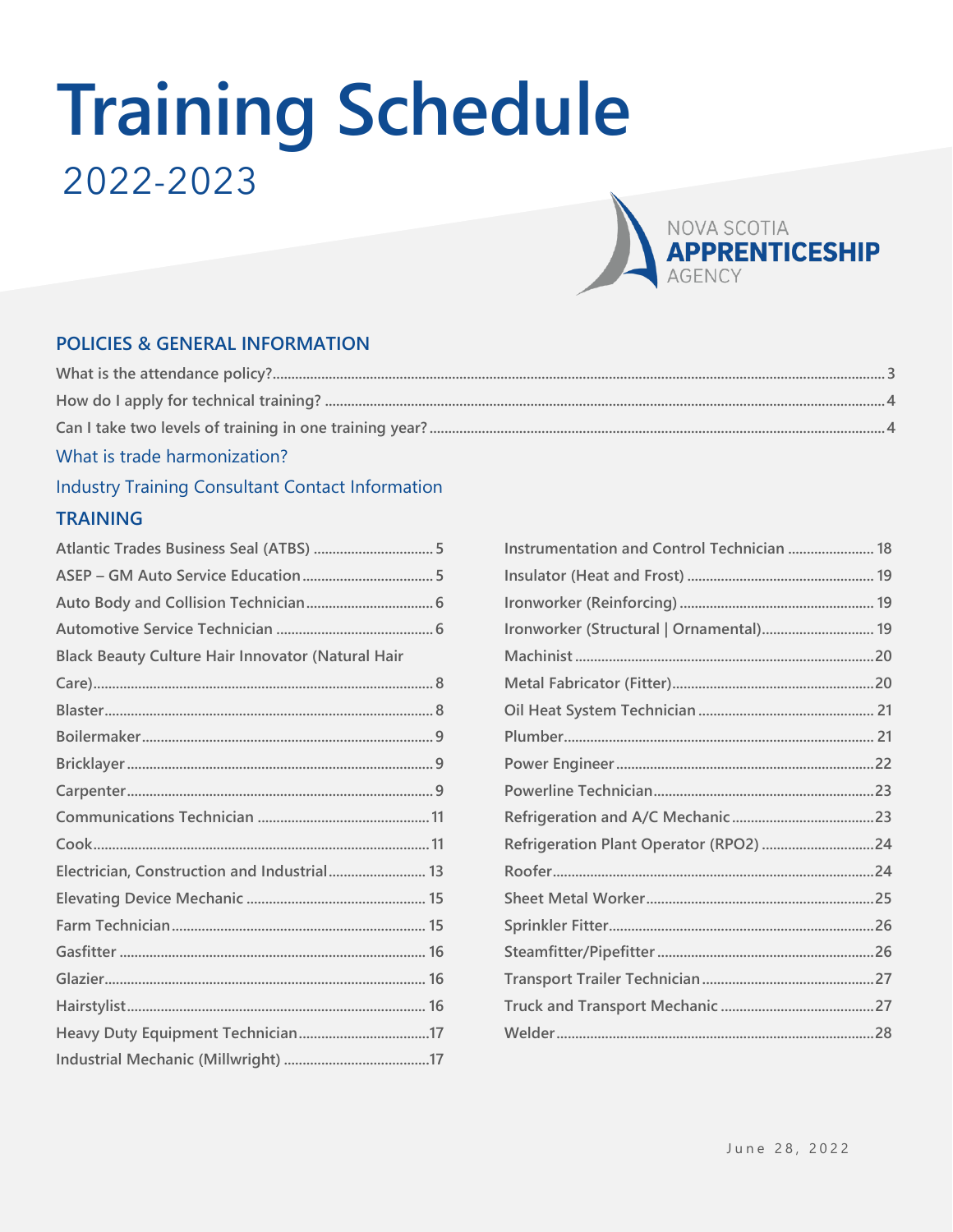# **Training Schedule** 2022-2023



#### **POLICIES & GENERAL INFORMATION**

#### What is trade harmonization?

#### **Industry Training Consultant Contact Information TRAINING**

| Atlantic Trades Business Seal (ATBS)  5                  |  |
|----------------------------------------------------------|--|
|                                                          |  |
|                                                          |  |
|                                                          |  |
| <b>Black Beauty Culture Hair Innovator (Natural Hair</b> |  |
|                                                          |  |
|                                                          |  |
|                                                          |  |
|                                                          |  |
|                                                          |  |
|                                                          |  |
|                                                          |  |
| Electrician, Construction and Industrial 13              |  |
|                                                          |  |
|                                                          |  |
|                                                          |  |
|                                                          |  |
|                                                          |  |
|                                                          |  |
|                                                          |  |

| Instrumentation and Control Technician  18 |  |
|--------------------------------------------|--|
|                                            |  |
|                                            |  |
| Ironworker (Structural   Ornamental) 19    |  |
|                                            |  |
|                                            |  |
|                                            |  |
|                                            |  |
|                                            |  |
|                                            |  |
|                                            |  |
| Refrigeration Plant Operator (RPO2) 24     |  |
|                                            |  |
|                                            |  |
|                                            |  |
|                                            |  |
|                                            |  |
|                                            |  |
|                                            |  |
|                                            |  |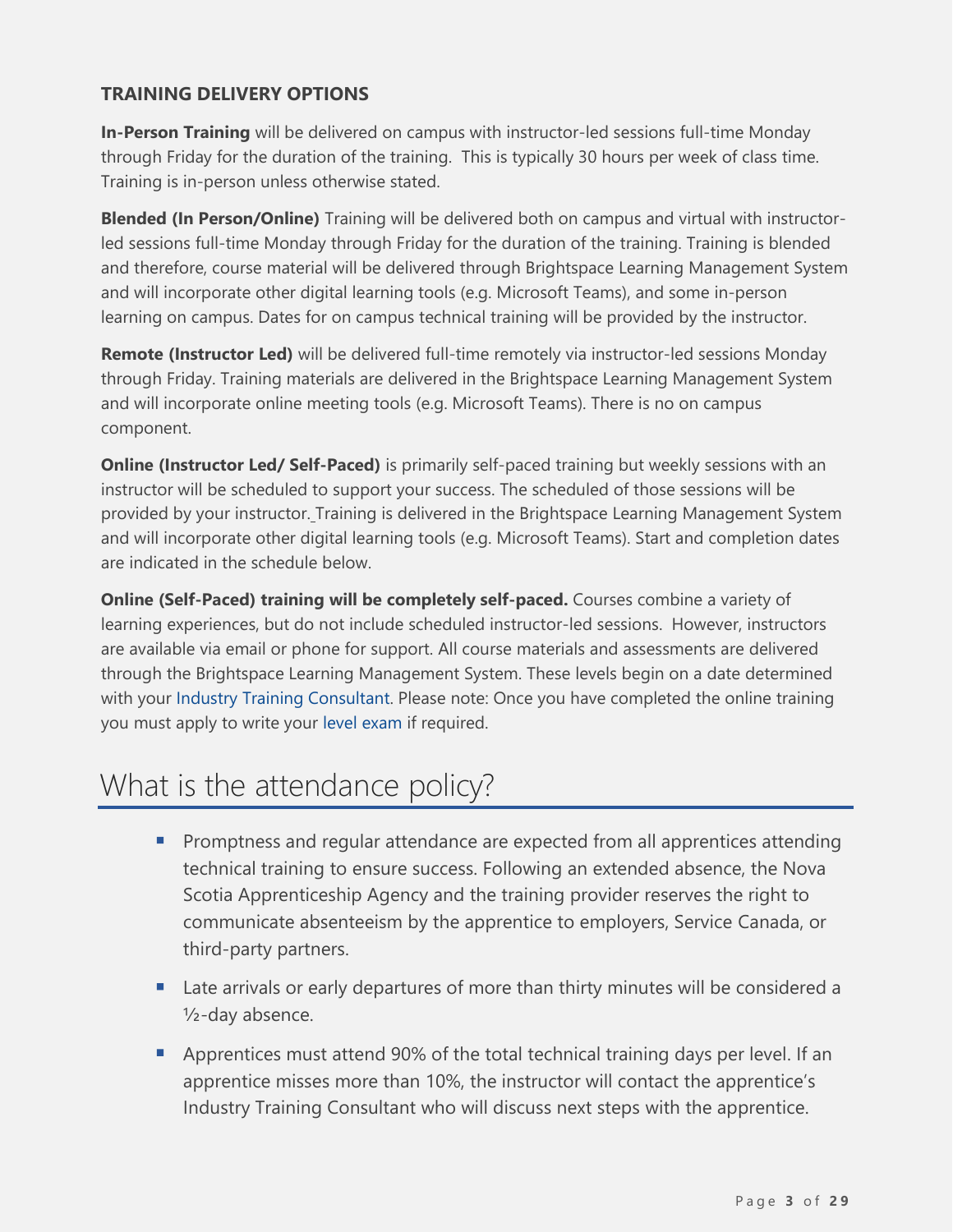#### **TRAINING DELIVERY OPTIONS**

**In-Person Training** will be delivered on campus with instructor-led sessions full-time Monday through Friday for the duration of the training. This is typically 30 hours per week of class time. Training is in-person unless otherwise stated.

**Blended (In Person/Online)** Training will be delivered both on campus and virtual with instructorled sessions full-time Monday through Friday for the duration of the training. Training is blended and therefore, course material will be delivered through Brightspace Learning Management System and will incorporate other digital learning tools (e.g. Microsoft Teams), and some in-person learning on campus. Dates for on campus technical training will be provided by the instructor.

**Remote (Instructor Led)** will be delivered full-time remotely via instructor-led sessions Monday through Friday. Training materials are delivered in the Brightspace Learning Management System and will incorporate online meeting tools (e.g. Microsoft Teams). There is no on campus component.

**Online (Instructor Led/ Self-Paced)** is primarily self-paced training but weekly sessions with an instructor will be scheduled to support your success. The scheduled of those sessions will be provided by your instructor. Training is delivered in the Brightspace Learning Management System and will incorporate other digital learning tools (e.g. Microsoft Teams). Start and completion dates are indicated in the schedule below.

**Online (Self-Paced) training will be completely self-paced.** Courses combine a variety of learning experiences, but do not include scheduled instructor-led sessions. However, instructors are available via email or phone for support. All course materials and assessments are delivered through the Brightspace Learning Management System. These levels begin on a date determined with your [Industry Training Consultant.](https://www.nsapprenticeship.ca/contact#itcs) Please note: Once you have completed the online training you must apply to write your [level exam](https://novascotia.ca/lae/apprenticeship/InitialQuestions.aspx?AppType=Online&AppForm=LAEAFEXAM) if required.

### <span id="page-2-0"></span>What is the attendance policy?

- **•** Promptness and regular attendance are expected from all apprentices attending technical training to ensure success. Following an extended absence, the Nova Scotia Apprenticeship Agency and the training provider reserves the right to communicate absenteeism by the apprentice to employers, Service Canada, or third-party partners.
- Late arrivals or early departures of more than thirty minutes will be considered a ½-day absence.
- Apprentices must attend 90% of the total technical training days per level. If an apprentice misses more than 10%, the instructor will contact the apprentice's Industry Training Consultant who will discuss next steps with the apprentice.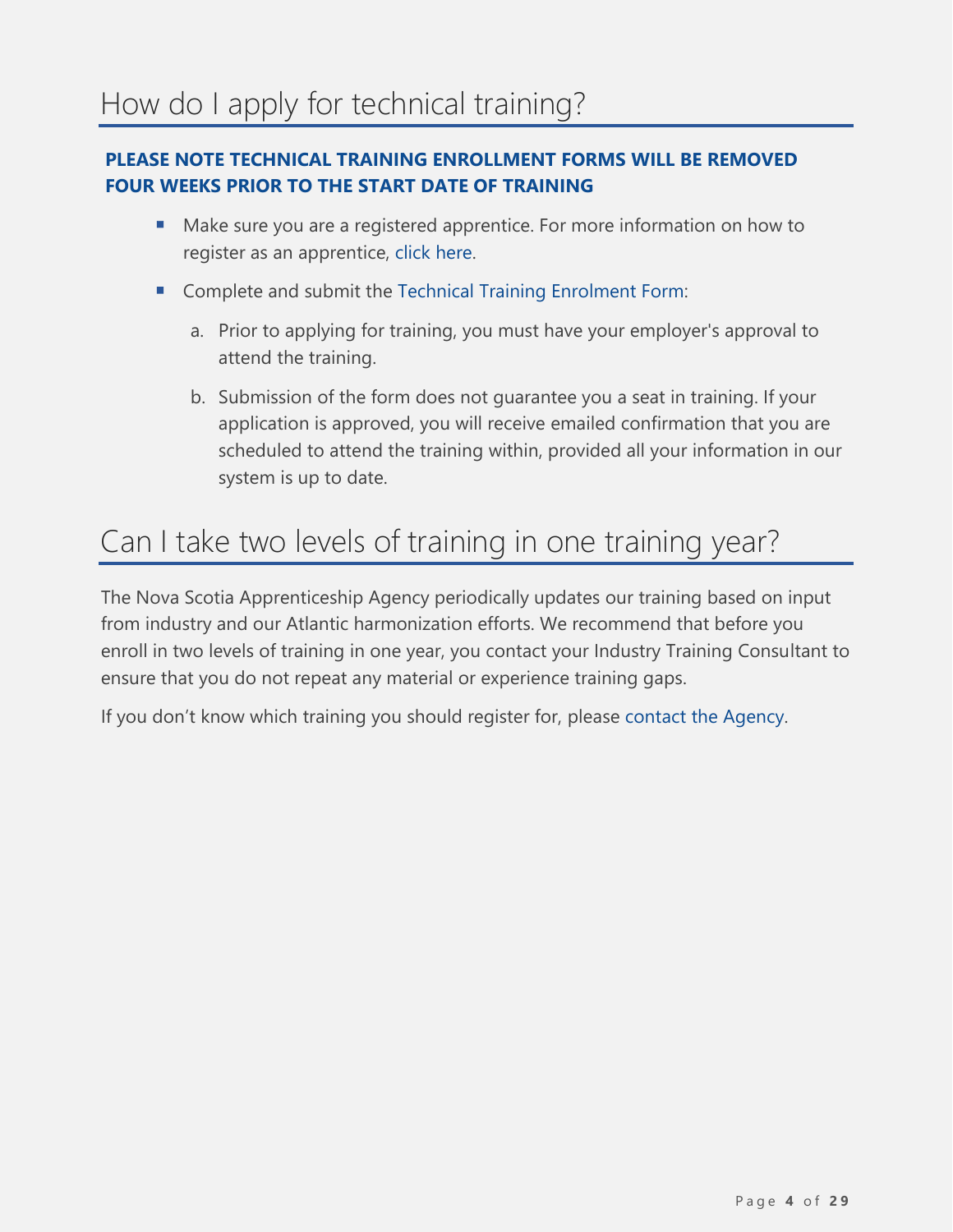#### <span id="page-3-0"></span>**PLEASE NOTE TECHNICAL TRAINING ENROLLMENT FORMS WILL BE REMOVED FOUR WEEKS PRIOR TO THE START DATE OF TRAINING**

- Make sure you are a registered apprentice. For more information on how to register as an apprentice, [click here.](https://www.nsapprenticeship.ca/apprentices/register-apprentice)
- Complete and submit the [Technical Training Enrolment Form:](https://novascotia.ca/lae/apprenticeship/InitialQuestions.aspx?AppType=Online&AppForm=LAETTEF&Blaster=No)
	- a. Prior to applying for training, you must have your employer's approval to attend the training.
	- b. Submission of the form does not guarantee you a seat in training. If your application is approved, you will receive emailed confirmation that you are scheduled to attend the training within, provided all your information in our system is up to date.

### <span id="page-3-1"></span>Can I take two levels of training in one training year?

The Nova Scotia Apprenticeship Agency periodically updates our training based on input from industry and our Atlantic harmonization efforts. We recommend that before you enroll in two levels of training in one year, you contact your Industry Training Consultant to ensure that you do not repeat any material or experience training gaps.

If you don't know which training you should register for, please [contact the Agency.](https://www.nsapprenticeship.ca/contact)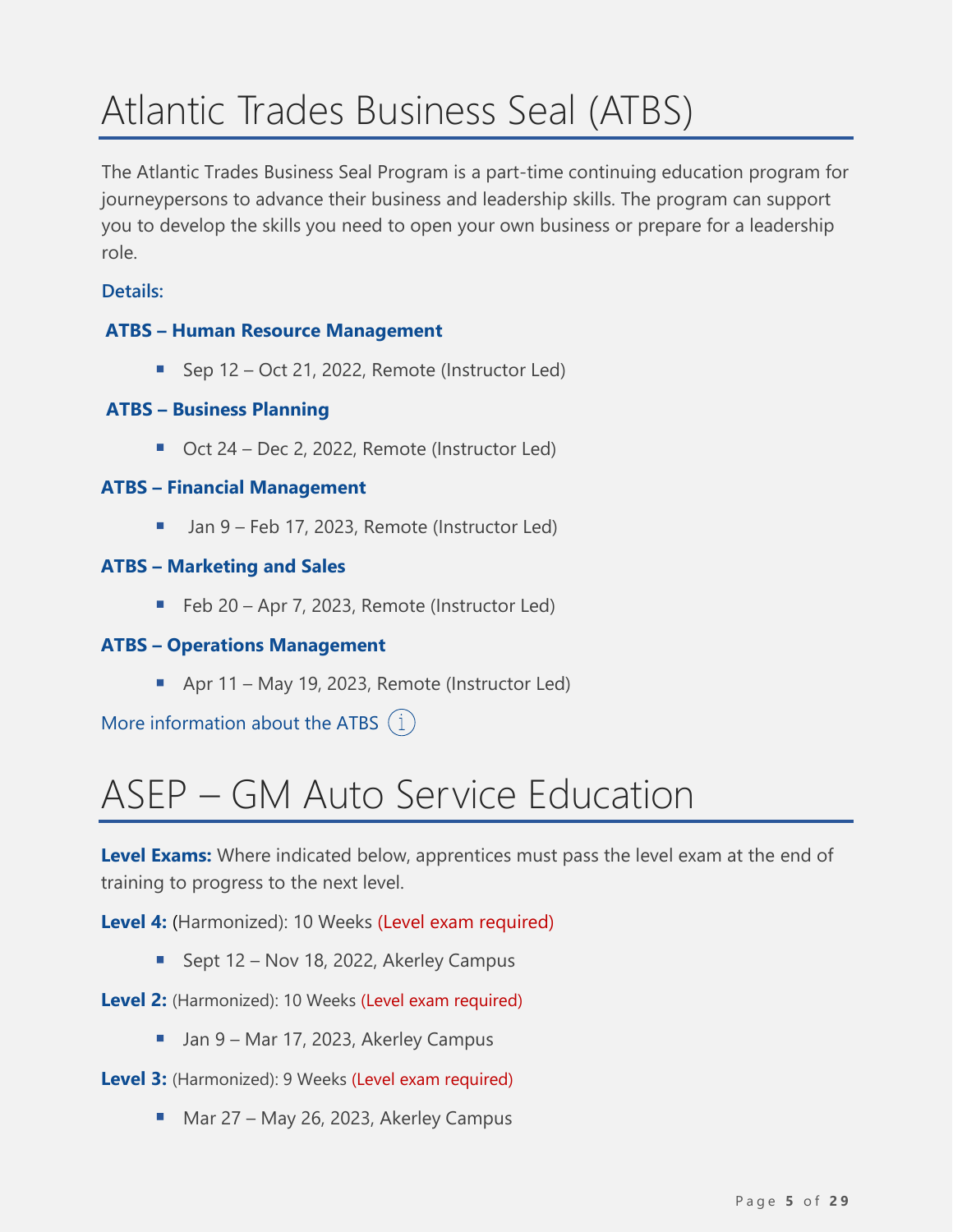# <span id="page-4-0"></span>Atlantic Trades Business Seal (ATBS)

The Atlantic Trades Business Seal Program is a part-time continuing education program for journeypersons to advance their business and leadership skills. The program can support you to develop the skills you need to open your own business or prepare for a leadership role.

#### **Details:**

#### **ATBS – Human Resource Management**

■ Sep 12 – Oct 21, 2022, Remote (Instructor Led)

#### **ATBS – Business Planning**

■ Oct 24 – Dec 2, 2022, Remote (Instructor Led)

#### **ATBS – Financial Management**

Jan 9 – Feb 17, 2023, Remote (Instructor Led)

#### **ATBS – Marketing and Sales**

■ Feb 20 – Apr 7, 2023, Remote (Instructor Led)

#### **ATBS – Operations Management**

■ Apr 11 – May 19, 2023, Remote (Instructor Led)

[More information](https://nsapprenticeship.ca/tradespersons/atlantic-trades-business-seal) about the ATBS  $(i)$ 

# <span id="page-4-1"></span>ASEP – GM Auto Service Education

**Level Exams:** Where indicated below, apprentices must pass the level exam at the end of training to progress to the next level.

**Level 4:** (Harmonized): 10 Weeks (Level exam required)

■ Sept 12 – Nov 18, 2022, Akerley Campus

#### Level 2: (Harmonized): 10 Weeks (Level exam required)

- Jan 9 Mar 17, 2023, Akerley Campus
- **Level 3:** (Harmonized): 9 Weeks (Level exam required)
	- Mar 27 May 26, 2023, Akerley Campus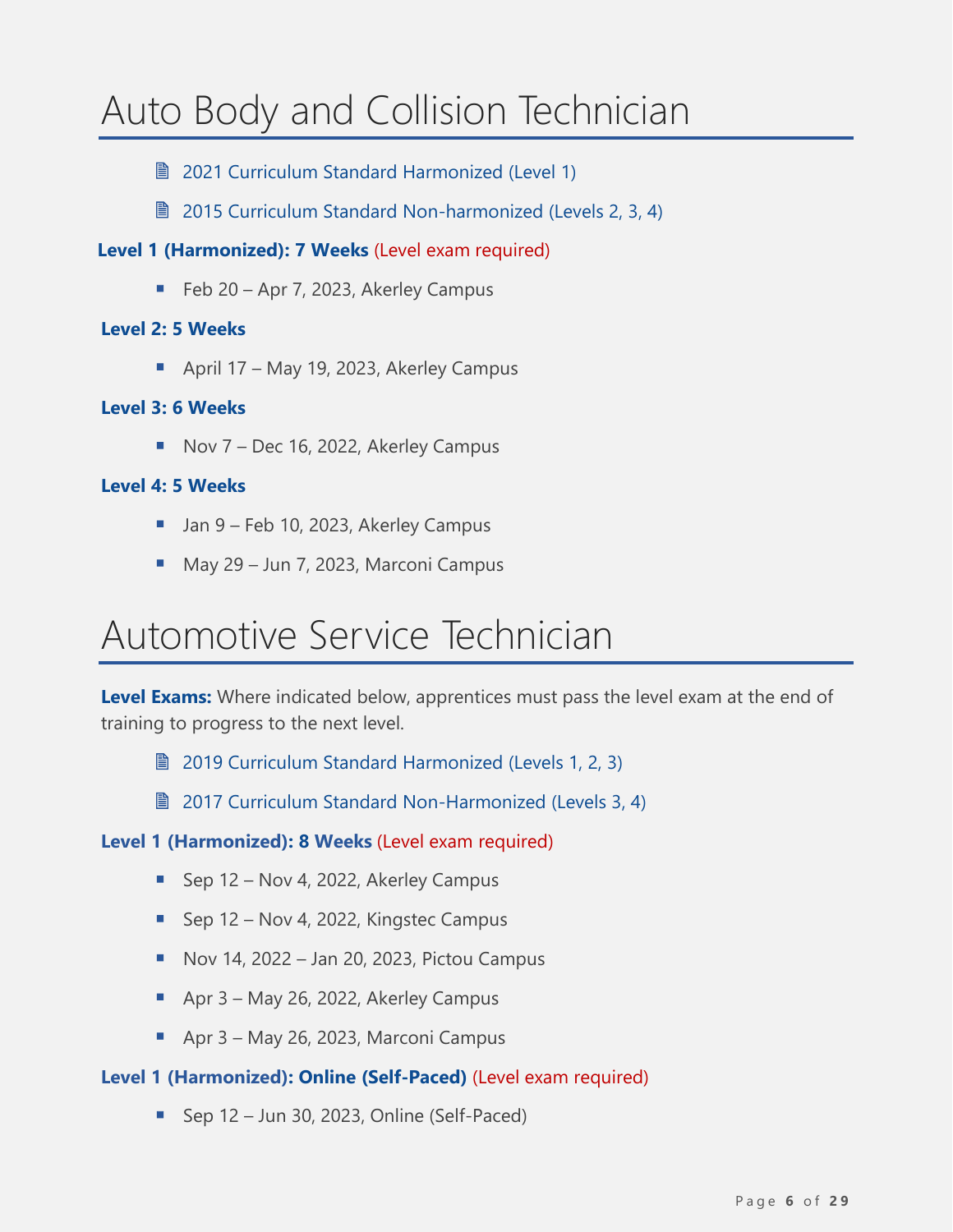# <span id="page-5-0"></span>Auto Body and Collision Technician

- **2021 [Curriculum Standard Harmonized \(Level](https://www.nsapprenticeship.ca/sites/default/files/files/ABCTAACS.pdf) 1)**
- **2015 Curriculum Standard Non-harmonized (Levels 2, 3, 4)**

#### **Level 1 (Harmonized): 7 Weeks** (Level exam required)

■ Feb 20 – Apr 7, 2023, Akerley Campus

#### **Level 2: 5 Weeks**

■ April 17 – May 19, 2023, Akerley Campus

#### **Level 3: 6 Weeks**

■ Nov 7 – Dec 16, 2022, Akerley Campus

#### **Level 4: 5 Weeks**

- Jan 9 Feb 10, 2023, Akerley Campus
- May 29 Jun 7, 2023, Marconi Campus

### <span id="page-5-1"></span>Automotive Service Technician

**Level Exams:** Where indicated below, apprentices must pass the level exam at the end of training to progress to the next level.

- 2019 [Curriculum Standard Harmonized \(Levels](https://nsapprenticeship.ca/sites/default/files/files/ASTAACS.pdf) 1, 2, 3)
- **2017 [Curriculum Standard](https://nsapprenticeship.ca/sites/default/files/files/ASTNACS.pdf) Non-Harmonized (Levels 3, 4)**

#### **Level 1 (Harmonized): 8 Weeks** (Level exam required)

- Sep 12 Nov 4, 2022, Akerley Campus
- Sep 12 Nov 4, 2022, Kingstec Campus
- $\blacksquare$  Nov 14, 2022 Jan 20, 2023, Pictou Campus
- Apr 3 May 26, 2022, Akerley Campus
- Apr 3 May 26, 2023, Marconi Campus

#### **Level 1 (Harmonized): Online (Self-Paced)** (Level exam required)

■ Sep 12 – Jun 30, 2023, Online (Self-Paced)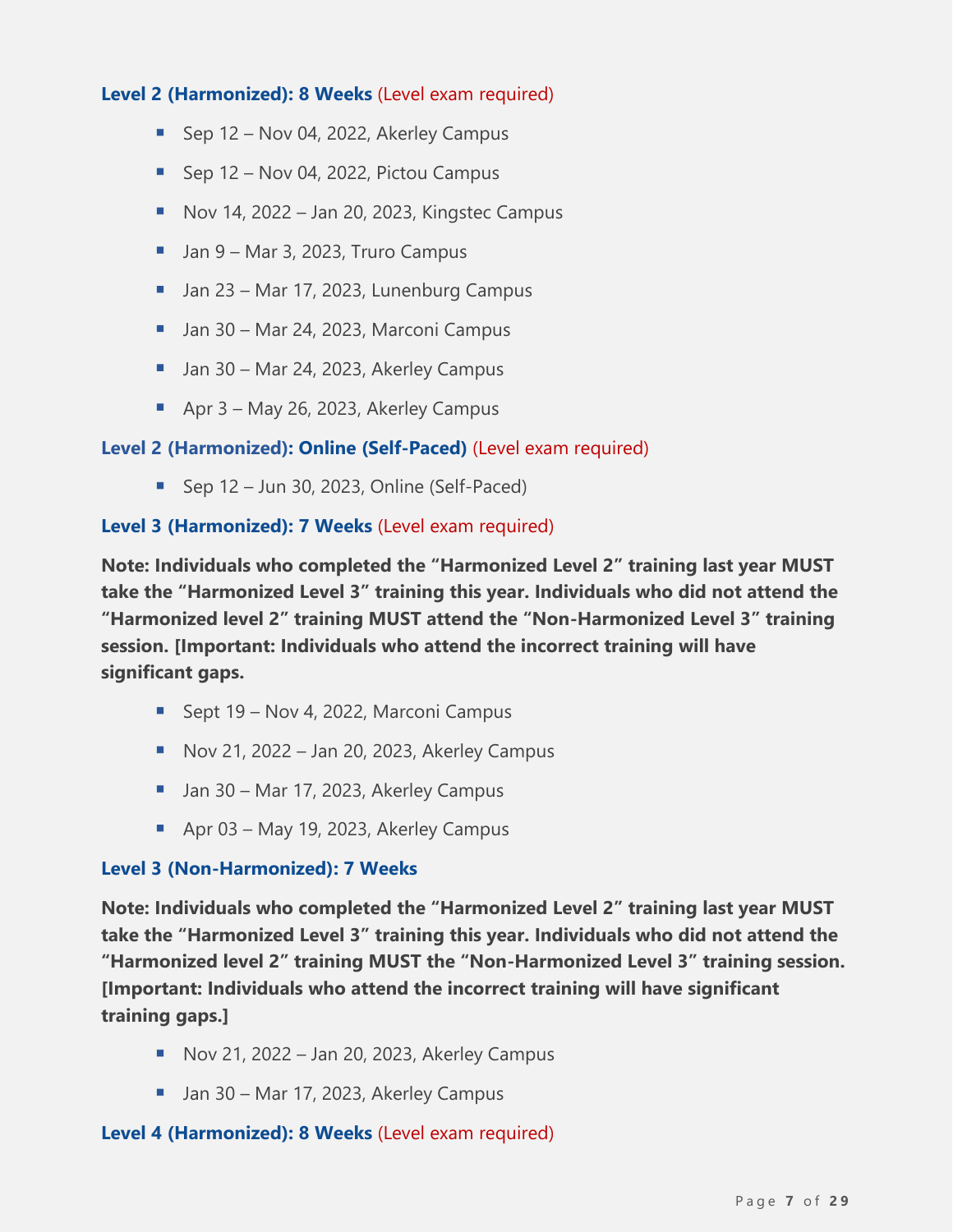#### **Level 2 (Harmonized): 8 Weeks** (Level exam required)

- Sep 12 Nov 04, 2022, Akerley Campus
- Sep 12 Nov 04, 2022, Pictou Campus
- $\blacksquare$  Nov 14, 2022 Jan 20, 2023, Kingstec Campus
- Jan 9 Mar 3, 2023, Truro Campus
- Jan 23 Mar 17, 2023, Lunenburg Campus
- Jan 30 Mar 24, 2023, Marconi Campus
- Jan 30 Mar 24, 2023, Akerley Campus
- Apr 3 May 26, 2023, Akerley Campus

#### **Level 2 (Harmonized): Online (Self-Paced)** (Level exam required)

■ Sep 12 – Jun 30, 2023, Online (Self-Paced)

#### **Level 3 (Harmonized): 7 Weeks** (Level exam required)

**Note: Individuals who completed the "Harmonized Level 2" training last year MUST take the "Harmonized Level 3" training this year. Individuals who did not attend the "Harmonized level 2" training MUST attend the "Non-Harmonized Level 3" training session. [Important: Individuals who attend the incorrect training will have significant gaps.**

- Sept 19 Nov 4, 2022, Marconi Campus
- Nov 21, 2022 Jan 20, 2023, Akerley Campus
- Jan 30 Mar 17, 2023, Akerley Campus
- Apr 03 May 19, 2023, Akerley Campus

#### **Level 3 (Non-Harmonized): 7 Weeks**

**Note: Individuals who completed the "Harmonized Level 2" training last year MUST take the "Harmonized Level 3" training this year. Individuals who did not attend the "Harmonized level 2" training MUST the "Non-Harmonized Level 3" training session. [Important: Individuals who attend the incorrect training will have significant training gaps.]**

- $\blacksquare$  Nov 21, 2022 Jan 20, 2023, Akerley Campus
- Jan 30 Mar 17, 2023, Akerley Campus

#### **Level 4 (Harmonized): 8 Weeks** (Level exam required)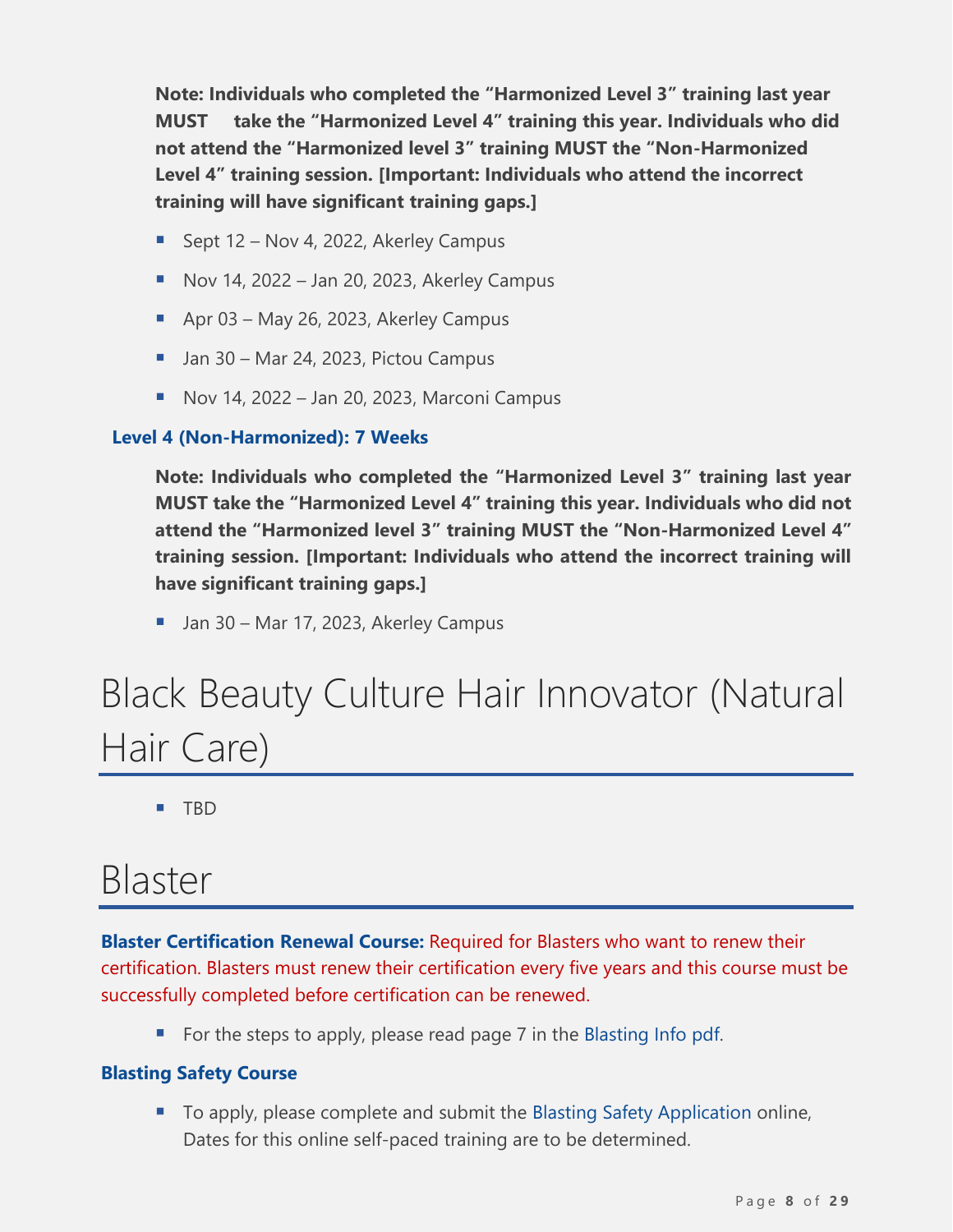**Note: Individuals who completed the "Harmonized Level 3" training last year MUST take the "Harmonized Level 4" training this year. Individuals who did not attend the "Harmonized level 3" training MUST the "Non-Harmonized Level 4" training session. [Important: Individuals who attend the incorrect training will have significant training gaps.]**

- Sept 12 Nov 4, 2022, Akerley Campus
- $\blacksquare$  Nov 14, 2022 Jan 20, 2023, Akerley Campus
- Apr 03 May 26, 2023, Akerley Campus
- Jan 30 Mar 24, 2023, Pictou Campus
- Nov 14, 2022 Jan 20, 2023, Marconi Campus

#### **Level 4 (Non-Harmonized): 7 Weeks**

**Note: Individuals who completed the "Harmonized Level 3" training last year MUST take the "Harmonized Level 4" training this year. Individuals who did not attend the "Harmonized level 3" training MUST the "Non-Harmonized Level 4" training session. [Important: Individuals who attend the incorrect training will have significant training gaps.]**

■ Jan 30 – Mar 17, 2023, Akerley Campus

# <span id="page-7-0"></span>Black Beauty Culture Hair Innovator (Natural Hair Care)

▪ TBD

### <span id="page-7-1"></span>Blaster

**Blaster Certification Renewal Course:** Required for Blasters who want to renew their certification. Blasters must renew their certification every five years and this course must be successfully completed before certification can be renewed.

■ For the steps to apply, please read page 7 in the [Blasting Info](https://nsapprenticeship.ca/sites/default/files/files/Blasting_Info.pdf) pdf.

#### **Blasting Safety Course**

■ To apply, please complete and submit the [Blasting Safety Application](https://novascotia.ca/lae/apprenticeship/InitialQuestions.aspx?AppType=Online&AppForm=LAEAFBS) online, Dates for this online self-paced training are to be determined.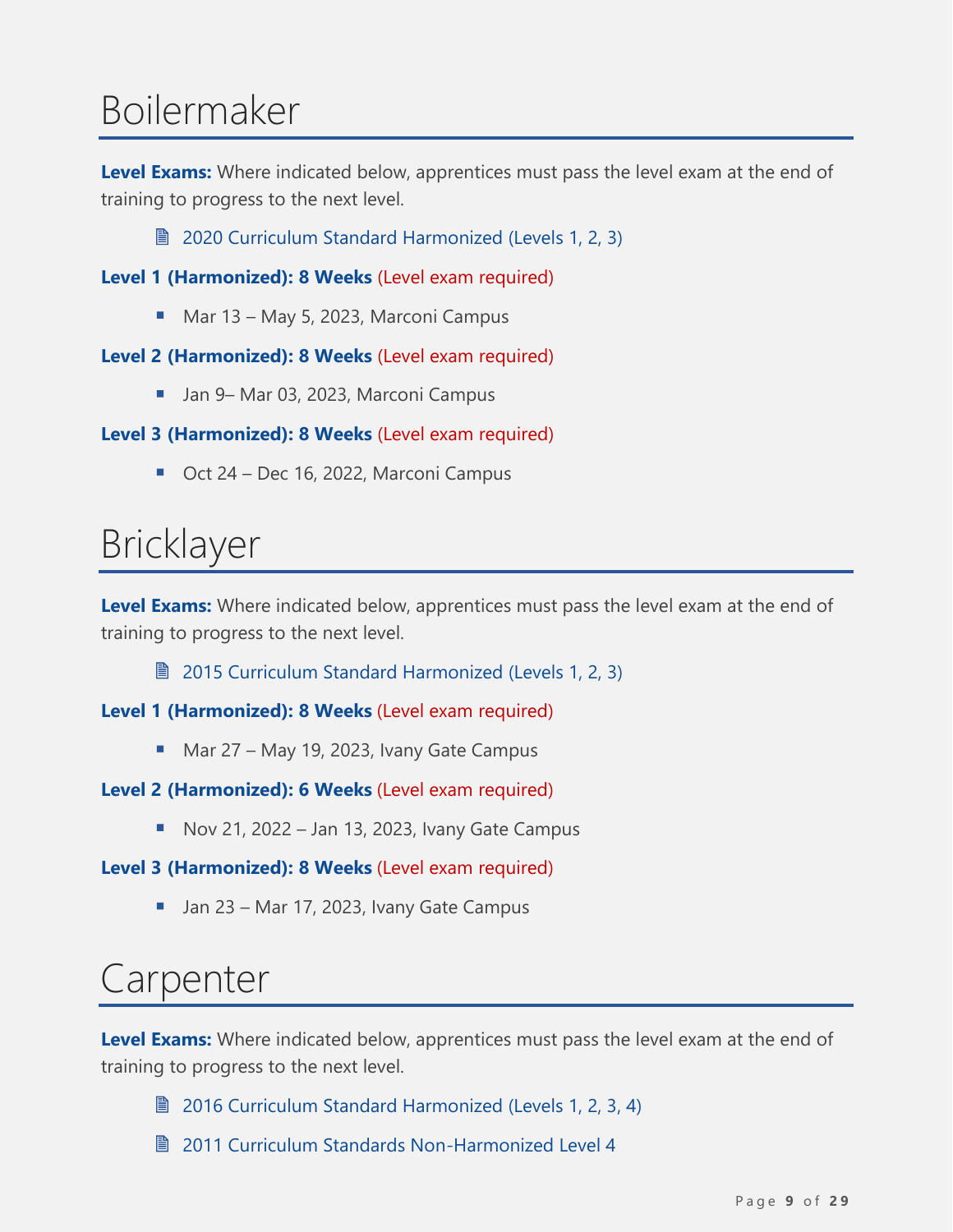# <span id="page-8-0"></span>Boilermaker

**Level Exams:** Where indicated below, apprentices must pass the level exam at the end of training to progress to the next level.

**■ [2020 Curriculum Standard Harmonized \(Levels](https://www.nsapprenticeship.ca/sites/default/files/files/BoilerAACS.pdf) 1, 2, 3)** 

**Level 1 (Harmonized): 8 Weeks** (Level exam required)

■ Mar 13 – May 5, 2023, Marconi Campus

#### **Level 2 (Harmonized): 8 Weeks** (Level exam required)

■ Jan 9– Mar 03, 2023, Marconi Campus

#### **Level 3 (Harmonized): 8 Weeks** (Level exam required)

■ Oct 24 – Dec 16, 2022, Marconi Campus

### <span id="page-8-1"></span>Bricklayer

**Level Exams:** Where indicated below, apprentices must pass the level exam at the end of training to progress to the next level.

■ [2015 Curriculum Standard Harmonized \(Levels 1, 2, 3\)](https://www.nsapprenticeship.ca/sites/default/files/files/BrickAACS.pdf)

**Level 1 (Harmonized): 8 Weeks** (Level exam required)

■ Mar 27 – May 19, 2023, Ivany Gate Campus

#### **Level 2 (Harmonized): 6 Weeks** (Level exam required)

 $\blacksquare$  Nov 21, 2022 – Jan 13, 2023, Ivany Gate Campus

#### **Level 3 (Harmonized): 8 Weeks** (Level exam required)

■ Jan 23 – Mar 17, 2023, Ivany Gate Campus

### <span id="page-8-2"></span>Carpenter

**Level Exams:** Where indicated below, apprentices must pass the level exam at the end of training to progress to the next level.

**■ [2016 Curriculum Standard Harmonized \(Levels 1, 2, 3, 4\)](https://www.nsapprenticeship.ca/sites/default/files/files/CarpAACS.pdf)** 

■ 2011 Curriculum Standards Non-Harmonized Level 4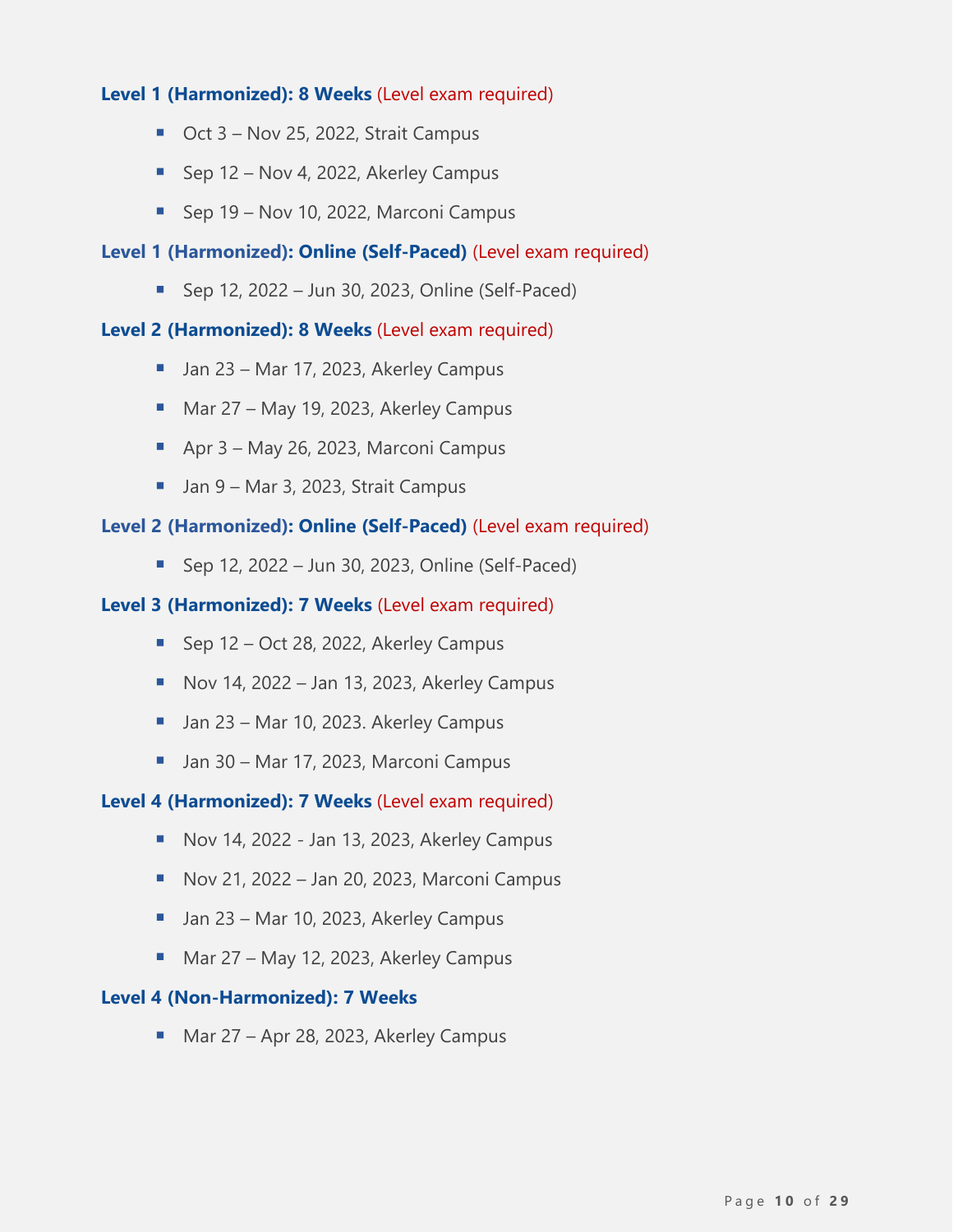#### **Level 1 (Harmonized): 8 Weeks** (Level exam required)

- Oct 3 Nov 25, 2022, Strait Campus
- Sep 12 Nov 4, 2022, Akerley Campus
- Sep 19 Nov 10, 2022, Marconi Campus

#### **Level 1 (Harmonized): Online (Self-Paced)** (Level exam required)

■ Sep 12, 2022 – Jun 30, 2023, Online (Self-Paced)

#### **Level 2 (Harmonized): 8 Weeks** (Level exam required)

- Jan 23 Mar 17, 2023, Akerley Campus
- Mar 27 May 19, 2023, Akerley Campus
- Apr 3 May 26, 2023, Marconi Campus
- Jan 9 Mar 3, 2023, Strait Campus

#### **Level 2 (Harmonized): Online (Self-Paced)** (Level exam required)

 $\blacksquare$  Sep 12, 2022 – Jun 30, 2023, Online (Self-Paced)

#### **Level 3 (Harmonized): 7 Weeks** (Level exam required)

- Sep 12 Oct 28, 2022, Akerley Campus
- $\blacksquare$  Nov 14, 2022 Jan 13, 2023, Akerley Campus
- Jan 23 Mar 10, 2023. Akerley Campus
- Jan 30 Mar 17, 2023, Marconi Campus

#### **Level 4 (Harmonized): 7 Weeks** (Level exam required)

- Nov 14, 2022 Jan 13, 2023, Akerley Campus
- Nov 21, 2022 Jan 20, 2023, Marconi Campus
- Jan 23 Mar 10, 2023, Akerley Campus
- Mar 27 May 12, 2023, Akerley Campus

#### **Level 4 (Non-Harmonized): 7 Weeks**

■ Mar 27 – Apr 28, 2023, Akerley Campus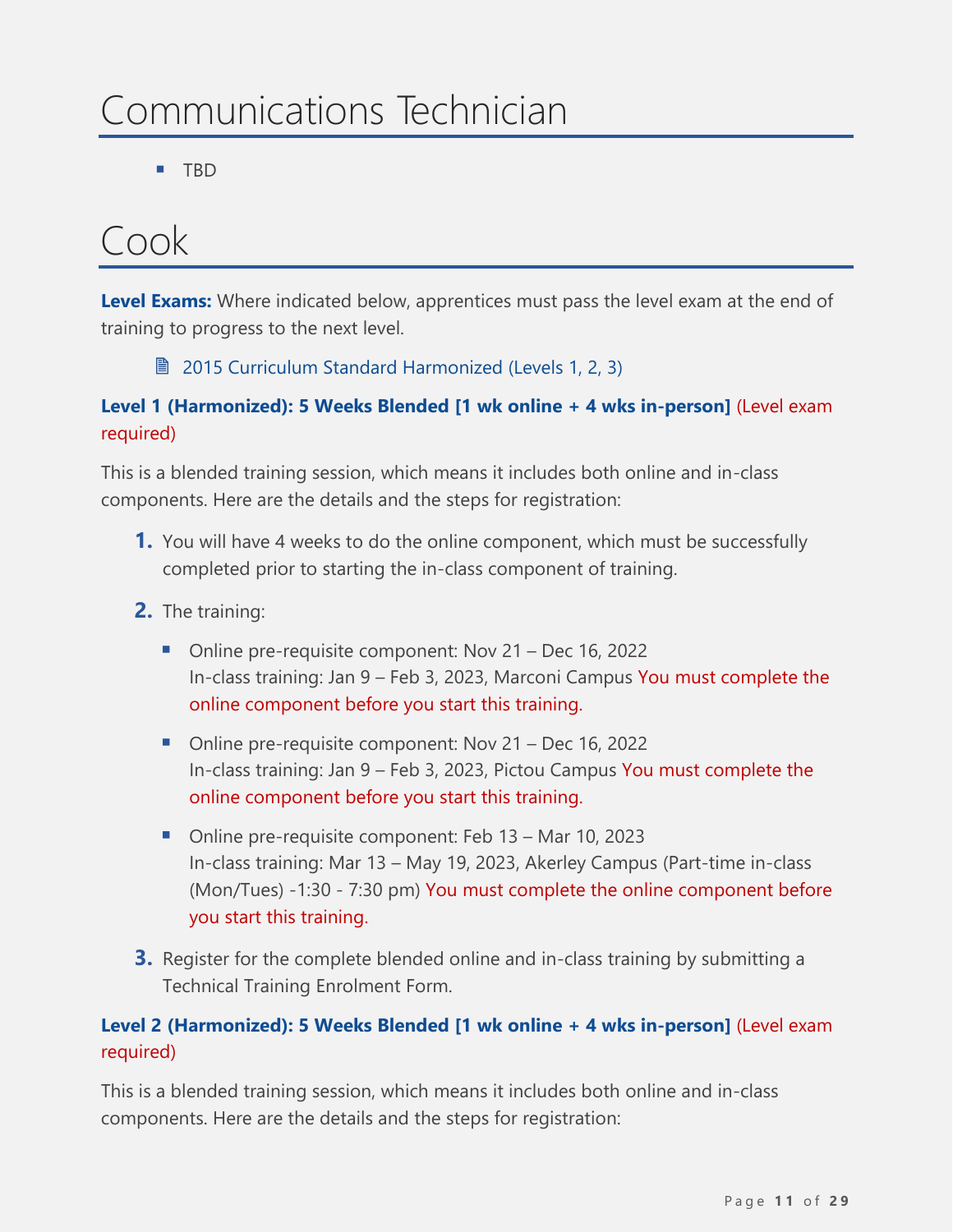# <span id="page-10-0"></span>Communications Technician

▪ TBD

### <span id="page-10-1"></span>Cook

**Level Exams:** Where indicated below, apprentices must pass the level exam at the end of training to progress to the next level.

■ [2015 Curriculum Standard Harmonized \(Levels 1, 2, 3\)](https://www.nsapprenticeship.ca/sites/default/files/files/CookAACS.pdf)

#### **Level 1 (Harmonized): 5 Weeks Blended [1 wk online + 4 wks in-person]** (Level exam required)

This is a blended training session, which means it includes both online and in-class components. Here are the details and the steps for registration:

- **1.** You will have 4 weeks to do the online component, which must be successfully completed prior to starting the in-class component of training.
- **2.** The training:
	- Online pre-requisite component: Nov 21 Dec 16, 2022 In-class training: Jan 9 – Feb 3, 2023, Marconi Campus You must complete the online component before you start this training.
	- Online pre-requisite component: Nov 21 Dec 16, 2022 In-class training: Jan 9 – Feb 3, 2023, Pictou Campus You must complete the online component before you start this training.
	- Online pre-requisite component: Feb 13 Mar 10, 2023 In-class training: Mar 13 – May 19, 2023, Akerley Campus (Part-time in-class (Mon/Tues) -1:30 - 7:30 pm) You must complete the online component before you start this training.
- **3.** Register for the complete blended online and in-class training by submitting a Technical Training Enrolment Form.

#### **Level 2 (Harmonized): 5 Weeks Blended [1 wk online + 4 wks in-person]** (Level exam required)

This is a blended training session, which means it includes both online and in-class components. Here are the details and the steps for registration: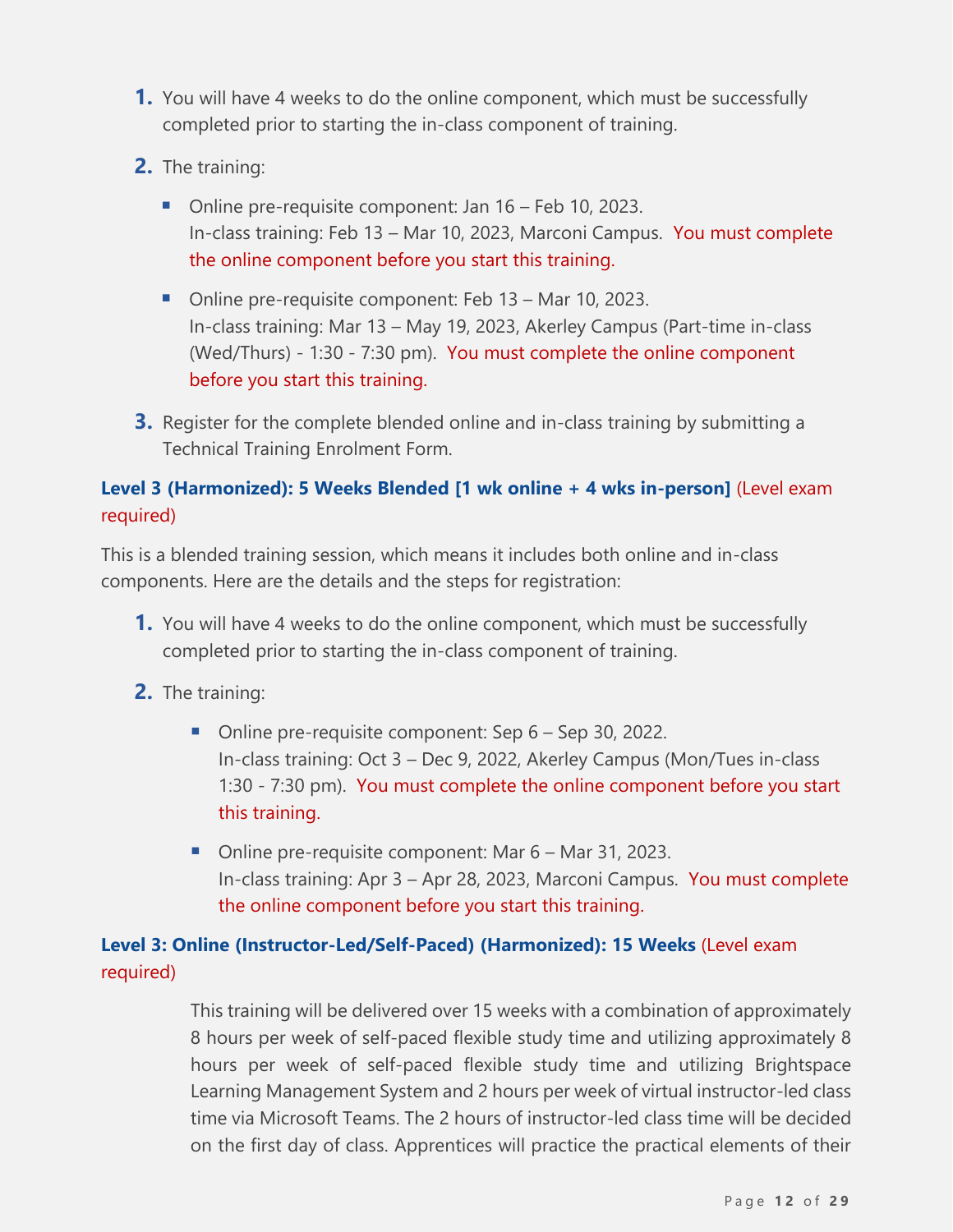- **1.** You will have 4 weeks to do the online component, which must be successfully completed prior to starting the in-class component of training.
- **2.** The training:
	- Online pre-requisite component: Jan 16 Feb 10, 2023. In-class training: Feb 13 – Mar 10, 2023, Marconi Campus. You must complete the online component before you start this training.
	- Online pre-requisite component: Feb 13 Mar 10, 2023. In-class training: Mar 13 – May 19, 2023, Akerley Campus (Part-time in-class (Wed/Thurs) - 1:30 - 7:30 pm). You must complete the online component before you start this training.
- **3.** Register for the complete blended online and in-class training by submitting a Technical Training Enrolment Form.

#### **Level 3 (Harmonized): 5 Weeks Blended [1 wk online + 4 wks in-person]** (Level exam required)

This is a blended training session, which means it includes both online and in-class components. Here are the details and the steps for registration:

- **1.** You will have 4 weeks to do the online component, which must be successfully completed prior to starting the in-class component of training.
- **2.** The training:
	- Online pre-requisite component: Sep 6 Sep 30, 2022. In-class training: Oct 3 – Dec 9, 2022, Akerley Campus (Mon/Tues in-class 1:30 - 7:30 pm). You must complete the online component before you start this training.
	- Online pre-requisite component: Mar 6 Mar 31, 2023. In-class training: Apr 3 – Apr 28, 2023, Marconi Campus. You must complete the online component before you start this training.

#### **Level 3: Online (Instructor-Led/Self-Paced) (Harmonized): 15 Weeks** (Level exam required)

This training will be delivered over 15 weeks with a combination of approximately 8 hours per week of self-paced flexible study time and utilizing approximately 8 hours per week of self-paced flexible study time and utilizing Brightspace Learning Management System and 2 hours per week of virtual instructor-led class time via Microsoft Teams. The 2 hours of instructor-led class time will be decided on the first day of class. Apprentices will practice the practical elements of their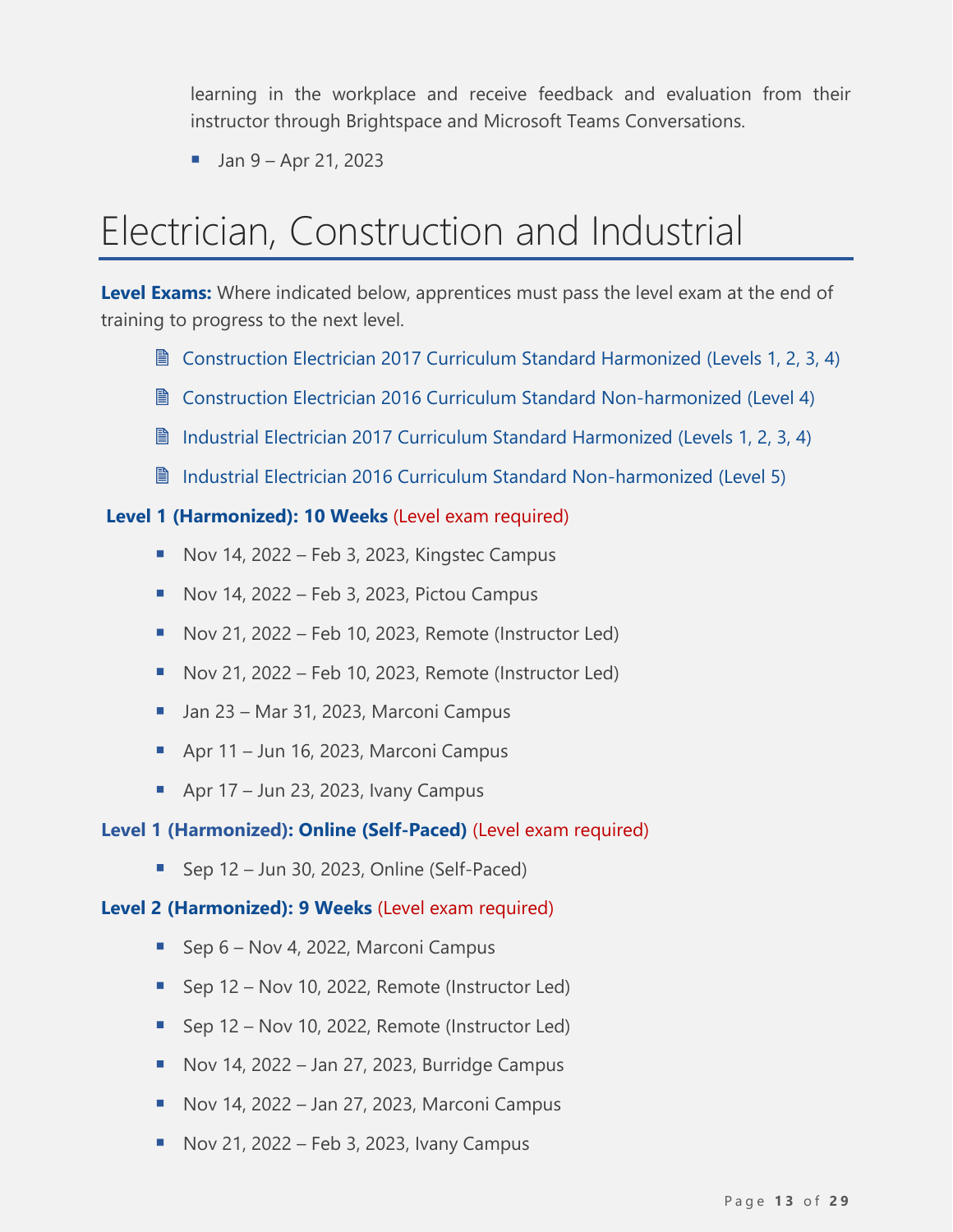learning in the workplace and receive feedback and evaluation from their instructor through Brightspace and Microsoft Teams Conversations.

 $\blacksquare$  Jan 9 – Apr 21, 2023

# <span id="page-12-0"></span>Electrician, Construction and Industrial

**Level Exams:** Where indicated below, apprentices must pass the level exam at the end of training to progress to the next level.

- Construction Electrician 2017 [Curriculum Standard Harmonized \(Levels 1, 2, 3, 4\)](https://www.nsapprenticeship.ca/sites/default/files/files/CElecAACS.pdf)
- Construction Electrician 2016 [Curriculum Standard Non-harmonized \(Level](https://www.nsapprenticeship.ca/sites/default/files/files/CEIPG.pdf) 4)
- **Industrial Electrician [2017 Curriculum Standard Harmonized \(Levels 1, 2, 3, 4\)](https://www.nsapprenticeship.ca/sites/default/files/files/IEAACS.pdf)**
- **Industrial Electrician [2016 Curriculum Standard Non-harmonized \(Level](https://www.nsapprenticeship.ca/sites/default/files/files/IEIPG.pdf) 5)**

#### **Level 1 (Harmonized): 10 Weeks** (Level exam required)

- Nov 14, 2022 Feb 3, 2023, Kingstec Campus
- $\blacksquare$  Nov 14, 2022 Feb 3, 2023, Pictou Campus
- $\blacksquare$  Nov 21, 2022 Feb 10, 2023, Remote (Instructor Led)
- Nov 21, 2022 Feb 10, 2023, Remote (Instructor Led)
- Jan 23 Mar 31, 2023, Marconi Campus
- Apr 11 Jun 16, 2023, Marconi Campus
- Apr  $17 -$  Jun 23, 2023, Ivany Campus

#### **Level 1 (Harmonized): Online (Self-Paced)** (Level exam required)

 $\blacksquare$  Sep 12 – Jun 30, 2023, Online (Self-Paced)

#### **Level 2 (Harmonized): 9 Weeks** (Level exam required)

- Sep 6 Nov 4, 2022, Marconi Campus
- Sep 12 Nov 10, 2022, Remote (Instructor Led)
- Sep 12 Nov 10, 2022, Remote (Instructor Led)
- $\blacksquare$  Nov 14, 2022 Jan 27, 2023, Burridge Campus
- $\blacksquare$  Nov 14, 2022 Jan 27, 2023, Marconi Campus
- $\blacksquare$  Nov 21, 2022 Feb 3, 2023, Ivany Campus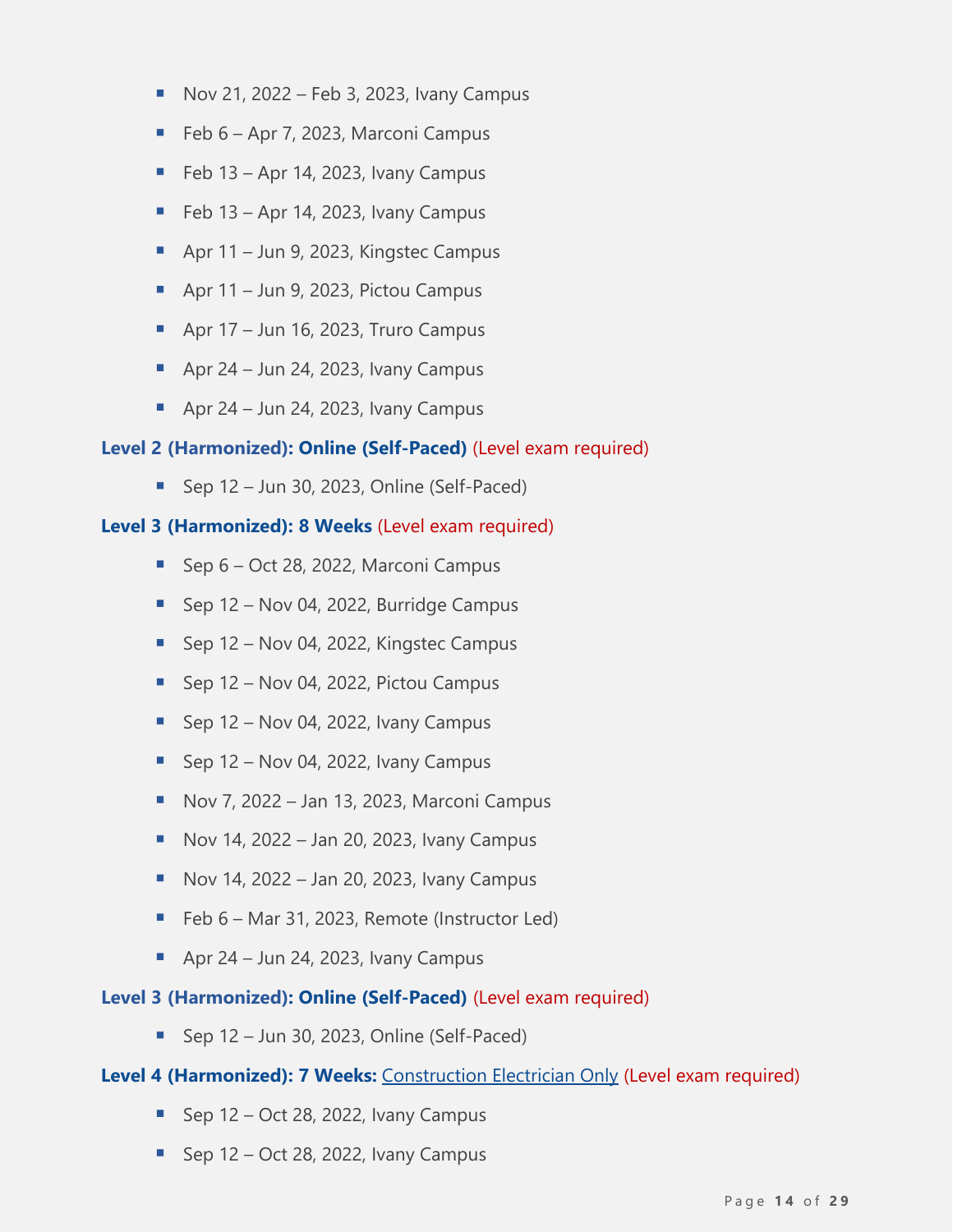- $\blacksquare$  Nov 21, 2022 Feb 3, 2023, Ivany Campus
- Feb 6 Apr 7, 2023, Marconi Campus
- $\blacksquare$  Feb 13 Apr 14, 2023, Ivany Campus
- $\blacksquare$  Feb 13 Apr 14, 2023, Ivany Campus
- Apr 11 Jun 9, 2023, Kingstec Campus
- $\blacksquare$  Apr 11 Jun 9, 2023, Pictou Campus
- $\blacksquare$  Apr 17 Jun 16, 2023, Truro Campus
- $\blacksquare$  Apr 24 Jun 24, 2023, Ivany Campus
- **•** Apr 24 Jun 24, 2023, Ivany Campus

#### **Level 2 (Harmonized): Online (Self-Paced)** (Level exam required)

■ Sep 12 – Jun 30, 2023, Online (Self-Paced)

#### **Level 3 (Harmonized): 8 Weeks** (Level exam required)

- Sep 6 Oct 28, 2022, Marconi Campus
- Sep 12 Nov 04, 2022, Burridge Campus
- Sep 12 Nov 04, 2022, Kingstec Campus
- Sep 12 Nov 04, 2022, Pictou Campus
- $\blacksquare$  Sep 12 Nov 04, 2022, Ivany Campus
- **E** Sep  $12$  Nov 04, 2022, Ivany Campus
- Nov 7, 2022 Jan 13, 2023, Marconi Campus
- $\blacksquare$  Nov 14, 2022 Jan 20, 2023, Ivany Campus
- $\blacksquare$  Nov 14, 2022 Jan 20, 2023, Ivany Campus
- Feb 6 Mar 31, 2023, Remote (Instructor Led)
- **•** Apr 24 Jun 24, 2023, Ivany Campus

#### **Level 3 (Harmonized): Online (Self-Paced)** (Level exam required)

 $\blacksquare$  Sep 12 – Jun 30, 2023, Online (Self-Paced)

#### Level 4 (Harmonized): 7 Weeks: Construction Electrician Only (Level exam required)

- **E** Sep  $12 Oct 28$ , 2022, Ivany Campus
- **E** Sep  $12 Oct 28$ , 2022, Ivany Campus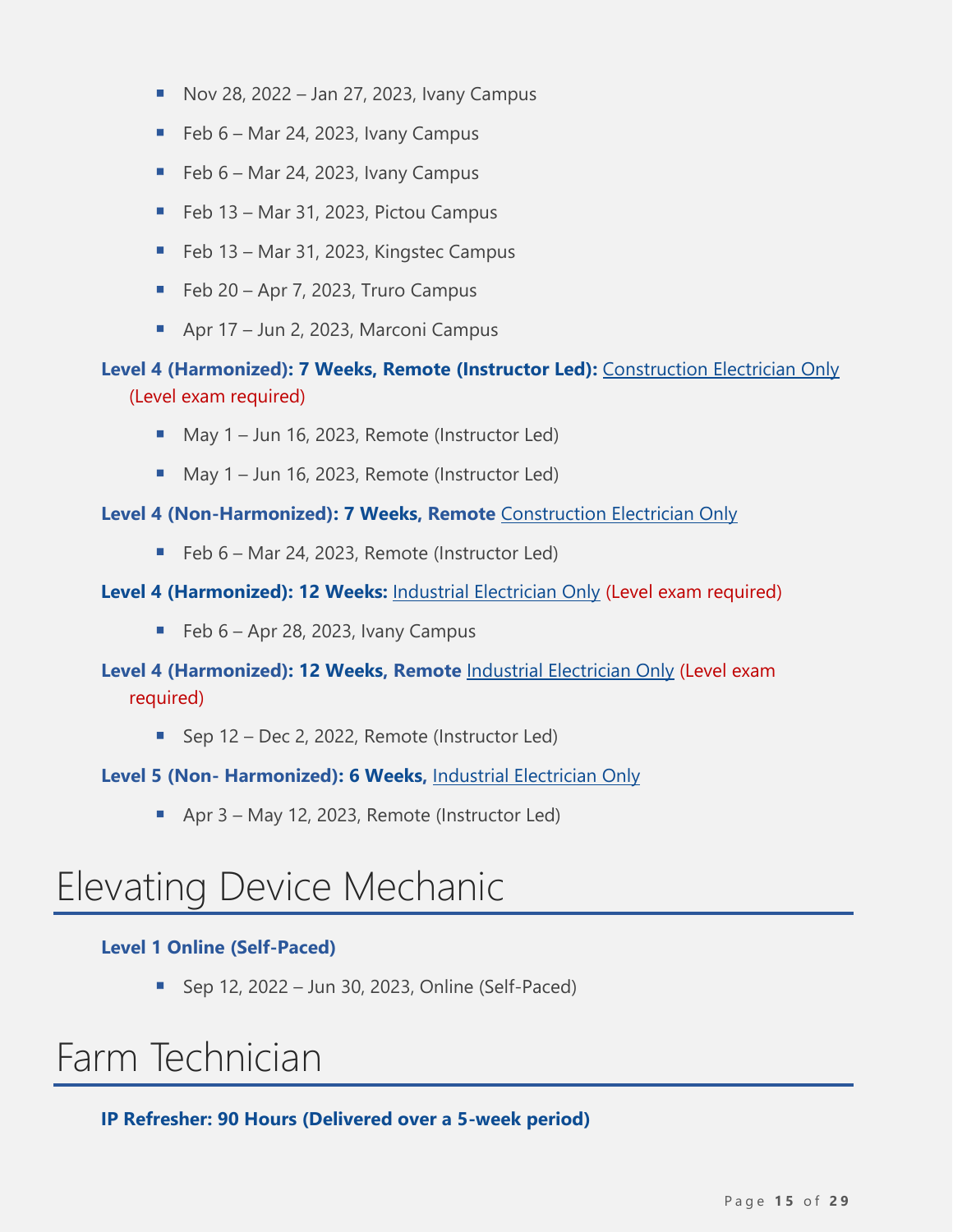- $\blacksquare$  Nov 28, 2022 Jan 27, 2023, Ivany Campus
- $\blacksquare$  Feb 6 Mar 24, 2023, Ivany Campus
- $\blacksquare$  Feb 6 Mar 24, 2023, Ivany Campus
- Feb 13 Mar 31, 2023, Pictou Campus
- $\blacksquare$  Feb 13 Mar 31, 2023, Kingstec Campus
- $\blacksquare$  Feb 20 Apr 7, 2023, Truro Campus
- Apr 17 Jun 2, 2023, Marconi Campus

#### **Level 4 (Harmonized): 7 Weeks, Remote (Instructor Led):** Construction Electrician Only (Level exam required)

- May 1 Jun 16, 2023, Remote (Instructor Led)
- May 1 Jun 16, 2023, Remote (Instructor Led)

#### **Level 4 (Non-Harmonized): 7 Weeks, Remote** Construction Electrician Only

■ Feb 6 – Mar 24, 2023, Remote (Instructor Led)

#### **Level 4 (Harmonized): 12 Weeks:** Industrial Electrician Only (Level exam required)

 $\blacksquare$  Feb 6 – Apr 28, 2023, Ivany Campus

**Level 4 (Harmonized): 12 Weeks, Remote** Industrial Electrician Only (Level exam required)

■ Sep 12 – Dec 2, 2022, Remote (Instructor Led)

**Level 5 (Non- Harmonized): 6 Weeks,** Industrial Electrician Only

■ Apr 3 – May 12, 2023, Remote (Instructor Led)

### <span id="page-14-0"></span>Elevating Device Mechanic

#### **Level 1 Online (Self-Paced)**

 $\blacksquare$  Sep 12, 2022 – Jun 30, 2023, Online (Self-Paced)

### <span id="page-14-1"></span>Farm Technician

**IP Refresher: 90 Hours (Delivered over a 5-week period)**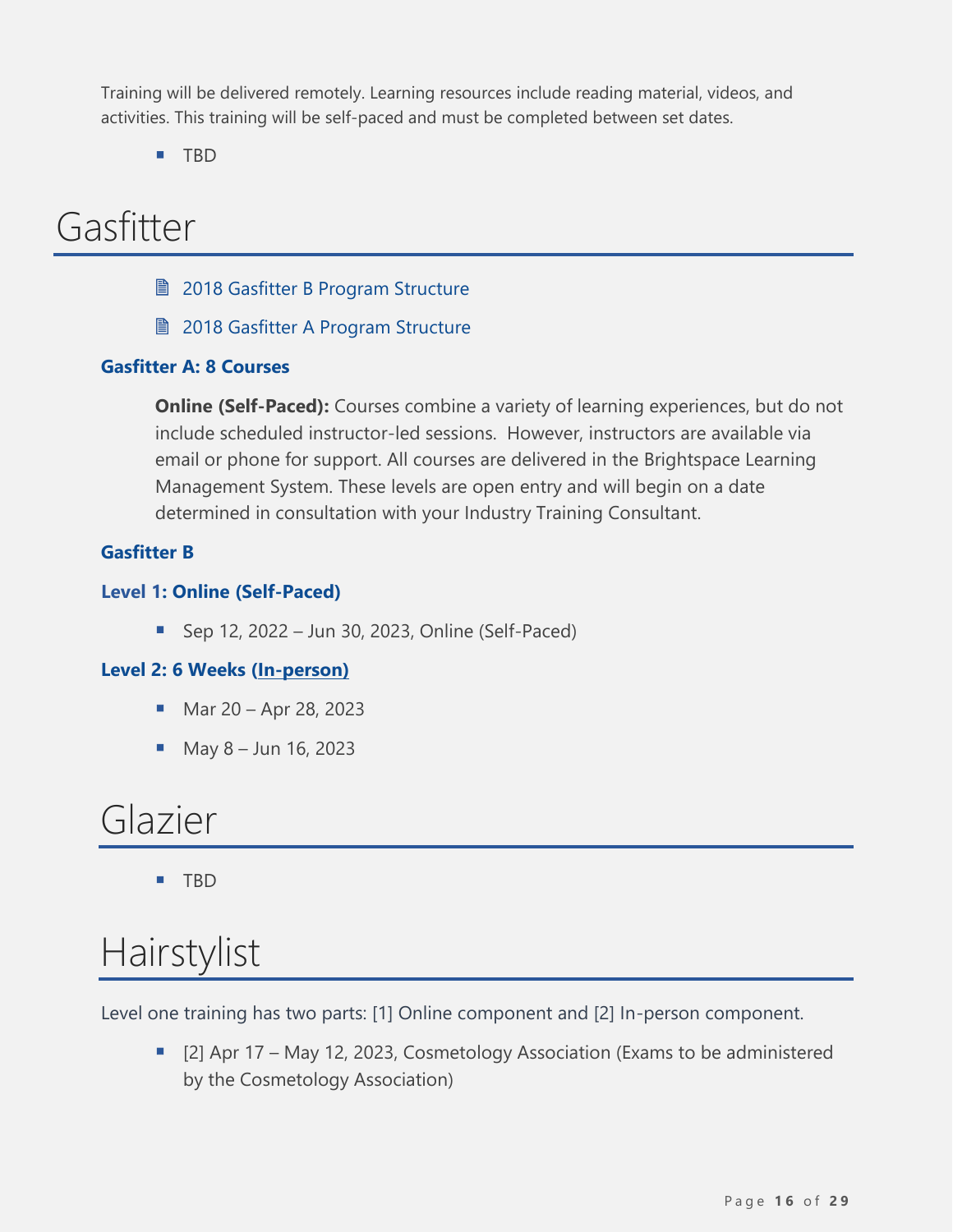Training will be delivered remotely. Learning resources include reading material, videos, and activities. This training will be self-paced and must be completed between set dates.

■ TBD

# <span id="page-15-0"></span>Gasfitter

- 2018 [Gasfitter B Program Structure](https://www.nsapprenticeship.ca/sites/default/files/files/Gas-ClassB.pdf)
- **2018 [Gasfitter A Program Structure](https://www.nsapprenticeship.ca/sites/default/files/files/Gas-ClassA.pdf)**

#### **Gasfitter A: 8 Courses**

**Online (Self-Paced):** Courses combine a variety of learning experiences, but do not include scheduled instructor-led sessions. However, instructors are available via email or phone for support. All courses are delivered in the Brightspace Learning Management System. These levels are open entry and will begin on a date determined in consultation with your Industry Training Consultant.

#### **Gasfitter B**

#### **Level 1: Online (Self-Paced)**

■ Sep 12, 2022 – Jun 30, 2023, Online (Self-Paced)

#### **Level 2: 6 Weeks (In-person)**

- Mar  $20 -$  Apr 28, 2023
- May  $8 -$  Jun 16, 2023

### <span id="page-15-1"></span>Glazier

■ TBD

# <span id="page-15-2"></span>Hairstylist

Level one training has two parts: [1] Online component and [2] In-person component.

■ [2] Apr 17 – May 12, 2023, Cosmetology Association (Exams to be administered by the Cosmetology Association)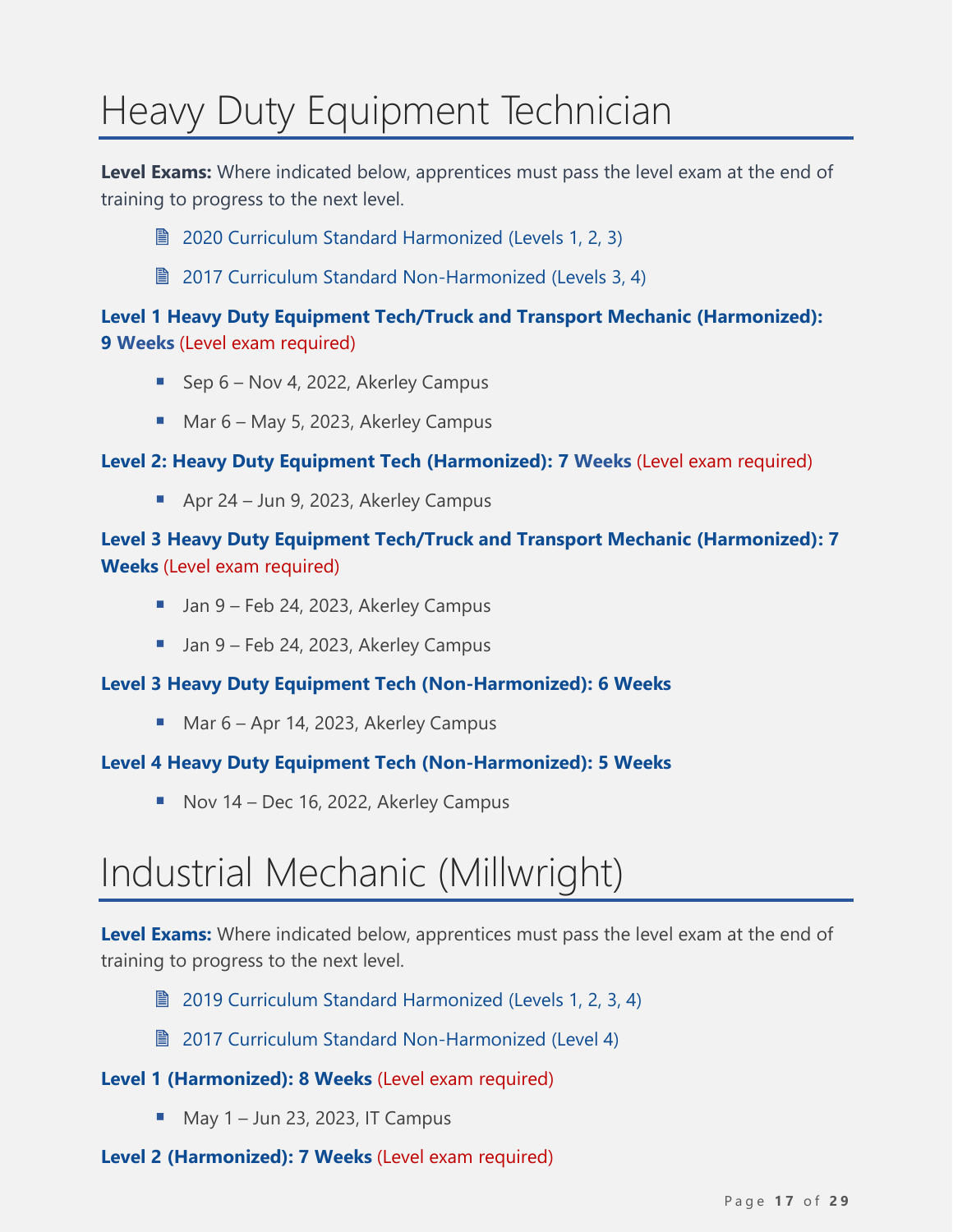# <span id="page-16-0"></span>Heavy Duty Equipment Technician

**Level Exams:** Where indicated below, apprentices must pass the level exam at the end of training to progress to the next level.

- **[2020 Curriculum Standard Harmonized \(Levels](https://www.nsapprenticeship.ca/sites/default/files/files/HDAACS.pdf) 1, 2, 3)**
- **2017 [Curriculum Standard](https://www.nsapprenticeship.ca/sites/default/files/files/HDNACS.pdf) Non-Harmonized (Levels 3, 4)**

#### **Level 1 Heavy Duty Equipment Tech/Truck and Transport Mechanic (Harmonized): 9 Weeks** (Level exam required)

- Sep 6 Nov 4, 2022, Akerley Campus
- Mar 6 May 5, 2023, Akerley Campus

**Level 2: Heavy Duty Equipment Tech (Harmonized): 7 Weeks** (Level exam required)

■ Apr 24 – Jun 9, 2023, Akerley Campus

#### **Level 3 Heavy Duty Equipment Tech/Truck and Transport Mechanic (Harmonized): 7 Weeks** (Level exam required)

- Jan 9 Feb 24, 2023, Akerley Campus
- Jan 9 Feb 24, 2023, Akerley Campus

#### **Level 3 Heavy Duty Equipment Tech (Non-Harmonized): 6 Weeks**

■ Mar 6 – Apr 14, 2023, Akerley Campus

#### **Level 4 Heavy Duty Equipment Tech (Non-Harmonized): 5 Weeks**

■ Nov 14 – Dec 16, 2022, Akerley Campus

# <span id="page-16-1"></span>Industrial Mechanic (Millwright)

**Level Exams:** Where indicated below, apprentices must pass the level exam at the end of training to progress to the next level.

■ [2019 Curriculum Standard Harmonized \(Levels](https://www.nsapprenticeship.ca/sites/default/files/files/IMMAACS.pdf) 1, 2, 3, 4)

**■ [2017 Curriculum Standard Non-Harmonized \(Level 4\)](https://www.nsapprenticeship.ca/sites/default/files/files/IMMNACS.pdf)** 

#### **Level 1 (Harmonized): 8 Weeks** (Level exam required)

 $\blacksquare$  May 1 – Jun 23, 2023, IT Campus

#### **Level 2 (Harmonized): 7 Weeks** (Level exam required)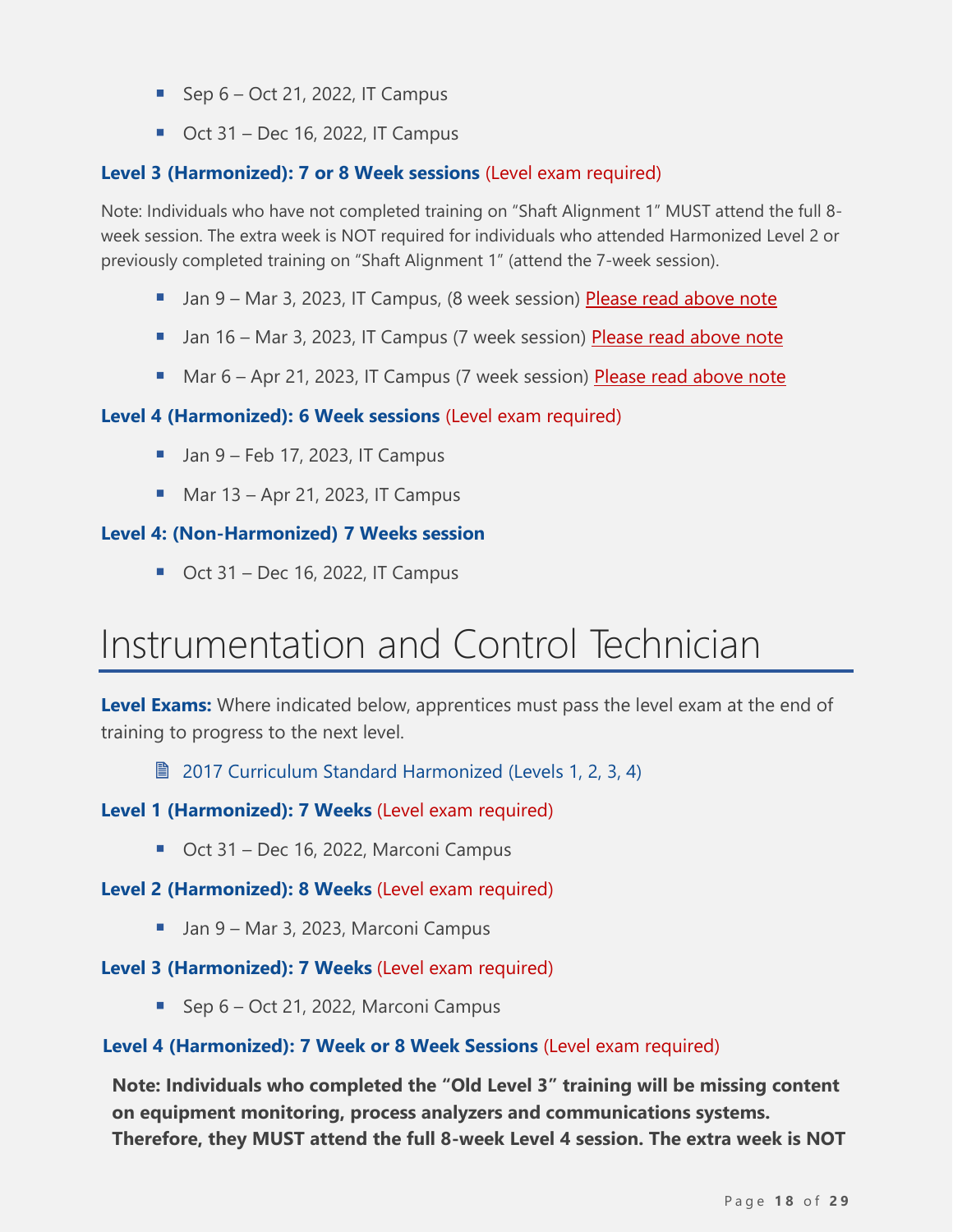- $\blacksquare$  Sep 6 Oct 21, 2022, IT Campus
- $\blacksquare$  Oct 31 Dec 16, 2022, IT Campus

#### **Level 3 (Harmonized): 7 or 8 Week sessions** (Level exam required)

Note: Individuals who have not completed training on "Shaft Alignment 1" MUST attend the full 8 week session. The extra week is NOT required for individuals who attended Harmonized Level 2 or previously completed training on "Shaft Alignment 1" (attend the 7-week session).

- Jan 9 Mar 3, 2023, IT Campus, (8 week session) Please read above note
- **■** Jan 16 Mar 3, 2023, IT Campus (7 week session) Please read above note
- Mar 6 Apr 21, 2023, IT Campus (7 week session) Please read above note

#### **Level 4 (Harmonized): 6 Week sessions** (Level exam required)

- $\blacksquare$  Jan 9 Feb 17, 2023, IT Campus
- $\blacksquare$  Mar 13 Apr 21, 2023, IT Campus

#### **Level 4: (Non-Harmonized) 7 Weeks session**

 $\blacksquare$  Oct 31 – Dec 16, 2022, IT Campus

# <span id="page-17-0"></span>Instrumentation and Control Technician

**Level Exams:** Where indicated below, apprentices must pass the level exam at the end of training to progress to the next level.

[2017 Curriculum Standard Harmonized \(Levels](https://www.nsapprenticeship.ca/sites/default/files/files/ICTAACS.pdf) 1, 2, 3, 4)

#### **Level 1 (Harmonized): 7 Weeks** (Level exam required)

■ Oct 31 – Dec 16, 2022, Marconi Campus

**Level 2 (Harmonized): 8 Weeks** (Level exam required)

■ Jan 9 – Mar 3, 2023, Marconi Campus

#### **Level 3 (Harmonized): 7 Weeks** (Level exam required)

■ Sep 6 – Oct 21, 2022, Marconi Campus

#### **Level 4 (Harmonized): 7 Week or 8 Week Sessions** (Level exam required)

**Note: Individuals who completed the "Old Level 3" training will be missing content on equipment monitoring, process analyzers and communications systems. Therefore, they MUST attend the full 8-week Level 4 session. The extra week is NOT**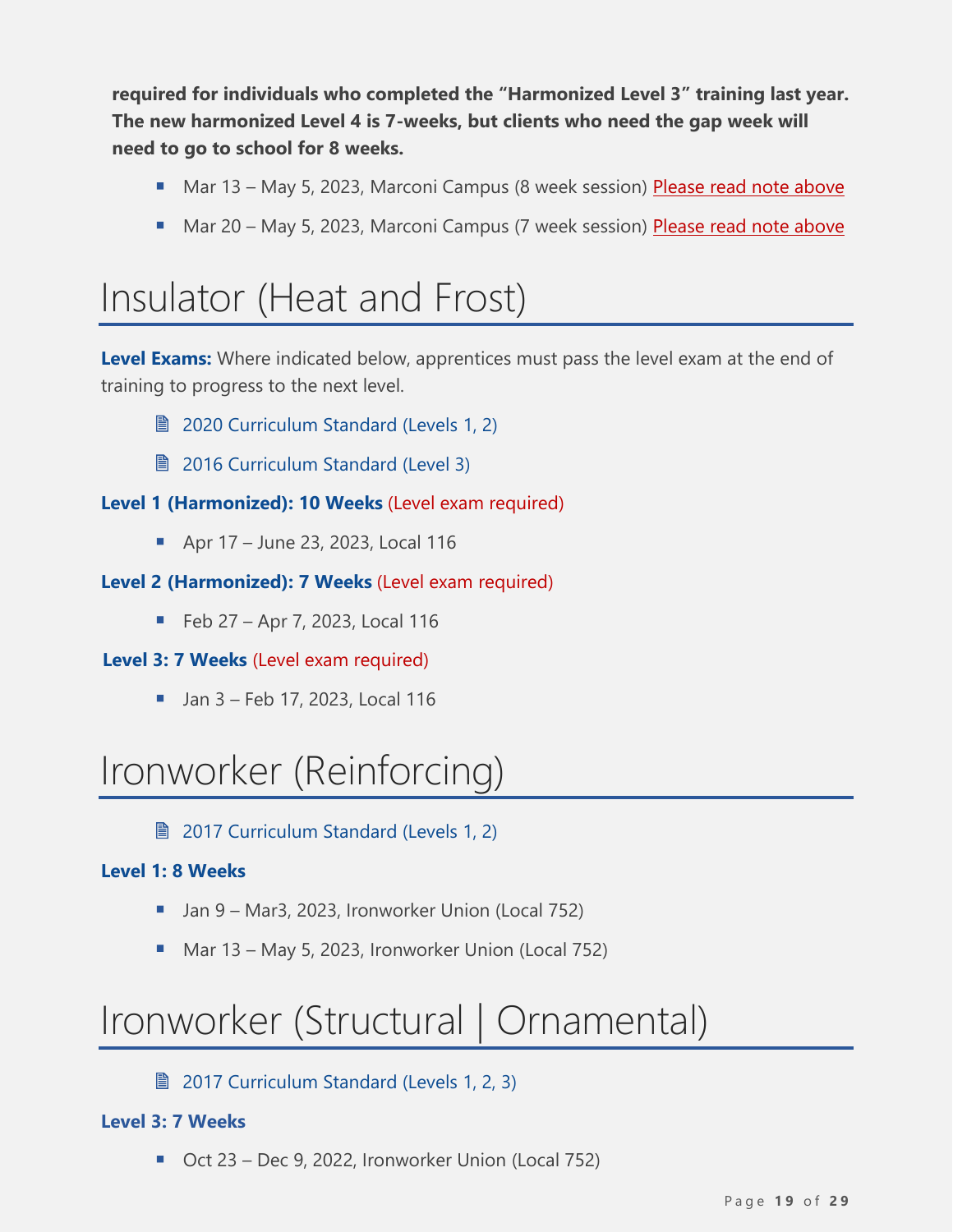**required for individuals who completed the "Harmonized Level 3" training last year. The new harmonized Level 4 is 7-weeks, but clients who need the gap week will need to go to school for 8 weeks.**

- Mar 13 May 5, 2023, Marconi Campus (8 week session) Please read note above
- Mar 20 May 5, 2023, Marconi Campus (7 week session) Please read note above

### <span id="page-18-0"></span>Insulator (Heat and Frost)

Level Exams: Where indicated below, apprentices must pass the level exam at the end of training to progress to the next level.

- **2020 [Curriculum Standard \(Levels](https://www.nsapprenticeship.ca/sites/default/files/files/IHFAACS.pdf) 1, 2)**
- **[2016 Curriculum Standard \(Level 3\)](https://www.nsapprenticeship.ca/sites/default/files/files/IHFACS.pdf)**

#### **Level 1 (Harmonized): 10 Weeks** (Level exam required)

■ Apr 17 – June 23, 2023, Local 116

#### **Level 2 (Harmonized): 7 Weeks** (Level exam required)

 $\blacksquare$  Feb 27 – Apr 7, 2023, Local 116

#### **Level 3: 7 Weeks** (Level exam required)

■ Jan 3 – Feb 17, 2023, Local 116

# <span id="page-18-1"></span>Ironworker (Reinforcing)

**■ [2017 Curriculum Standard \(Levels 1, 2\)](https://www.nsapprenticeship.ca/sites/default/files/files/IronRNACS.pdf)** 

#### **Level 1: 8 Weeks**

- Jan 9 Mar3, 2023, Ironworker Union (Local 752)
- Mar 13 May 5, 2023, Ironworker Union (Local 752)

# <span id="page-18-2"></span>Ironworker (Structural | Ornamental)

#### **■ 2017 [Curriculum Standard \(Levels 1, 2, 3\)](https://www.nsapprenticeship.ca/sites/default/files/files/IronSONACS.pdf)**

#### **Level 3: 7 Weeks**

■ Oct 23 – Dec 9, 2022, Ironworker Union (Local 752)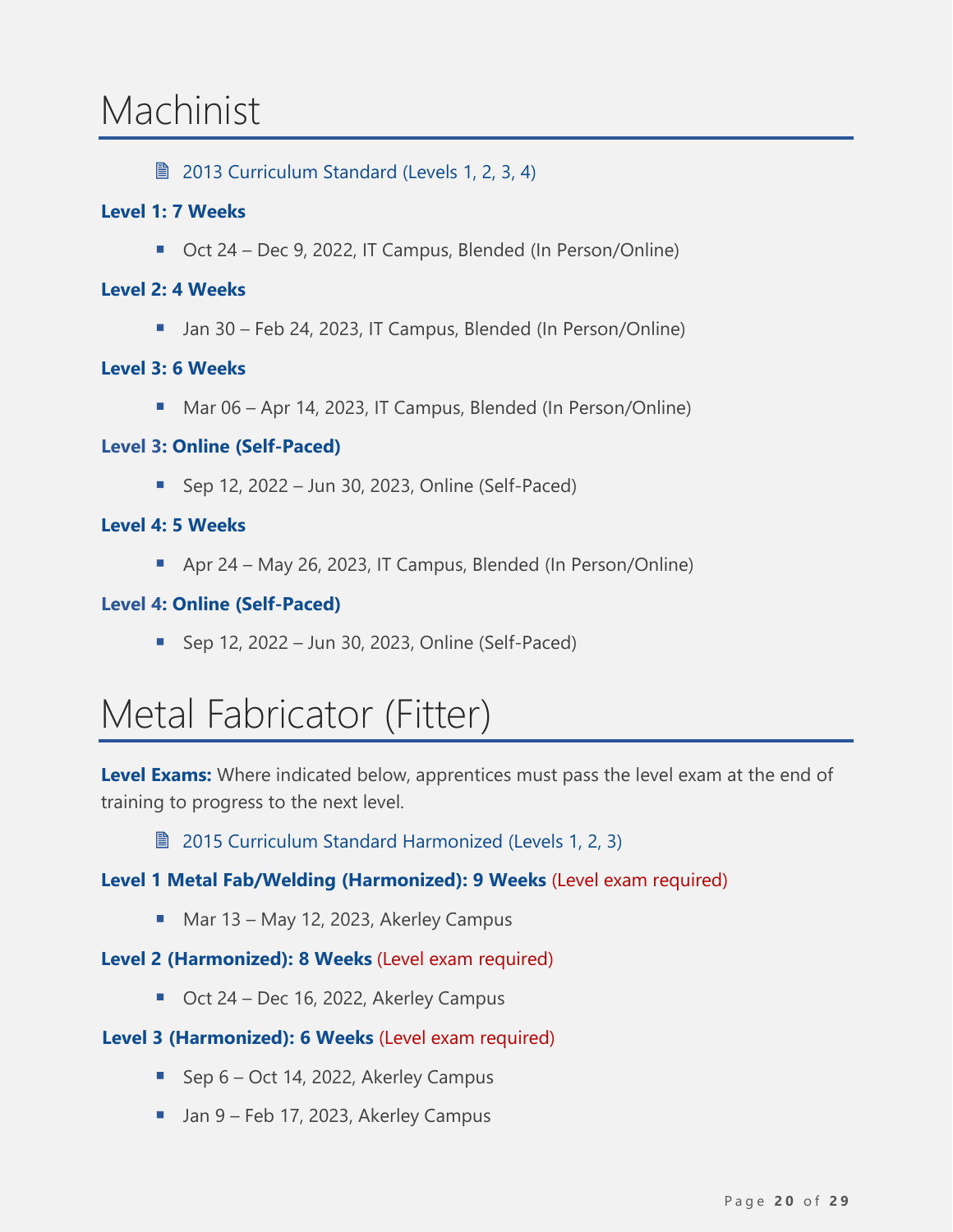### <span id="page-19-0"></span>Machinist

**■ 2013 [Curriculum Standard \(Levels 1, 2, 3, 4\)](https://www.nsapprenticeship.ca/sites/default/files/files/MachIPG.pdf)** 

#### **Level 1: 7 Weeks**

■ Oct 24 – Dec 9, 2022, IT Campus, Blended (In Person/Online)

#### **Level 2: 4 Weeks**

■ Jan 30 – Feb 24, 2023, IT Campus, Blended (In Person/Online)

#### **Level 3: 6 Weeks**

■ Mar 06 – Apr 14, 2023, IT Campus, Blended (In Person/Online)

#### **Level 3: Online (Self-Paced)**

 $\blacksquare$  Sep 12, 2022 – Jun 30, 2023, Online (Self-Paced)

#### **Level 4: 5 Weeks**

■ Apr 24 – May 26, 2023, IT Campus, Blended (In Person/Online)

#### **Level 4: Online (Self-Paced)**

 $\blacksquare$  Sep 12, 2022 – Jun 30, 2023, Online (Self-Paced)

### <span id="page-19-1"></span>Metal Fabricator (Fitter)

**Level Exams:** Where indicated below, apprentices must pass the level exam at the end of training to progress to the next level.

■ 2015 [Curriculum Standard Harmonized \(Levels 1, 2, 3\)](https://www.nsapprenticeship.ca/sites/default/files/files/MFAACS.pdf)

#### **Level 1 Metal Fab/Welding (Harmonized): 9 Weeks** (Level exam required)

■ Mar 13 – May 12, 2023, Akerley Campus

#### **Level 2 (Harmonized): 8 Weeks** (Level exam required)

■ Oct 24 – Dec 16, 2022, Akerley Campus

#### **Level 3 (Harmonized): 6 Weeks** (Level exam required)

- Sep 6 Oct 14, 2022, Akerley Campus
- Jan 9 Feb 17, 2023, Akerley Campus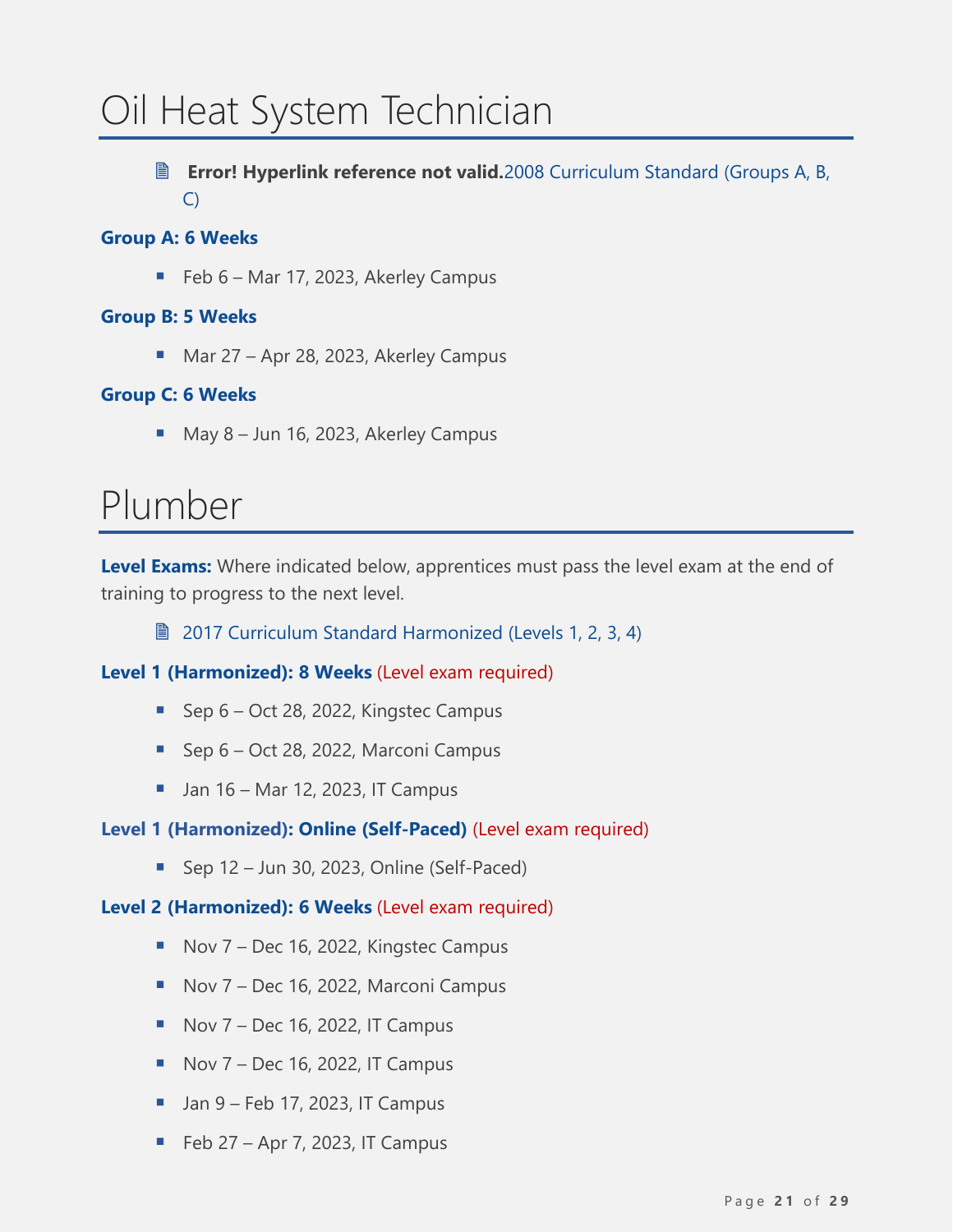# <span id="page-20-0"></span>Oil Heat System Technician

 **Error! Hyperlink reference not valid.**2008 [Curriculum Standard \(Groups A, B,](https://www.nsapprenticeship.ca/sites/default/files/files/OHSTACS.pdf)  [C\)](https://www.nsapprenticeship.ca/sites/default/files/files/OHSTACS.pdf)

#### **Group A: 6 Weeks**

■ Feb 6 – Mar 17, 2023, Akerley Campus

#### **Group B: 5 Weeks**

■ Mar 27 – Apr 28, 2023, Akerley Campus

#### **Group C: 6 Weeks**

■ May 8 – Jun 16, 2023, Akerley Campus

### <span id="page-20-1"></span>Plumber

**Level Exams:** Where indicated below, apprentices must pass the level exam at the end of training to progress to the next level.

**■ 2017 [Curriculum Standard Harmonized \(Levels 1, 2, 3, 4\)](https://www.nsapprenticeship.ca/sites/default/files/files/PlumbAACS.pdf)** 

**Level 1 (Harmonized): 8 Weeks** (Level exam required)

- Sep 6 Oct 28, 2022, Kingstec Campus
- Sep 6 Oct 28, 2022, Marconi Campus
- $\blacksquare$  Jan 16 Mar 12, 2023, IT Campus

#### **Level 1 (Harmonized): Online (Self-Paced)** (Level exam required)

■ Sep 12 – Jun 30, 2023, Online (Self-Paced)

#### **Level 2 (Harmonized): 6 Weeks** (Level exam required)

- Nov 7 Dec 16, 2022, Kingstec Campus
- Nov 7 Dec 16, 2022, Marconi Campus
- $\blacksquare$  Nov 7 Dec 16, 2022, IT Campus
- $\blacksquare$  Nov 7 Dec 16, 2022, IT Campus
- $\blacksquare$  Jan 9 Feb 17, 2023, IT Campus
- $\blacksquare$  Feb 27 Apr 7, 2023, IT Campus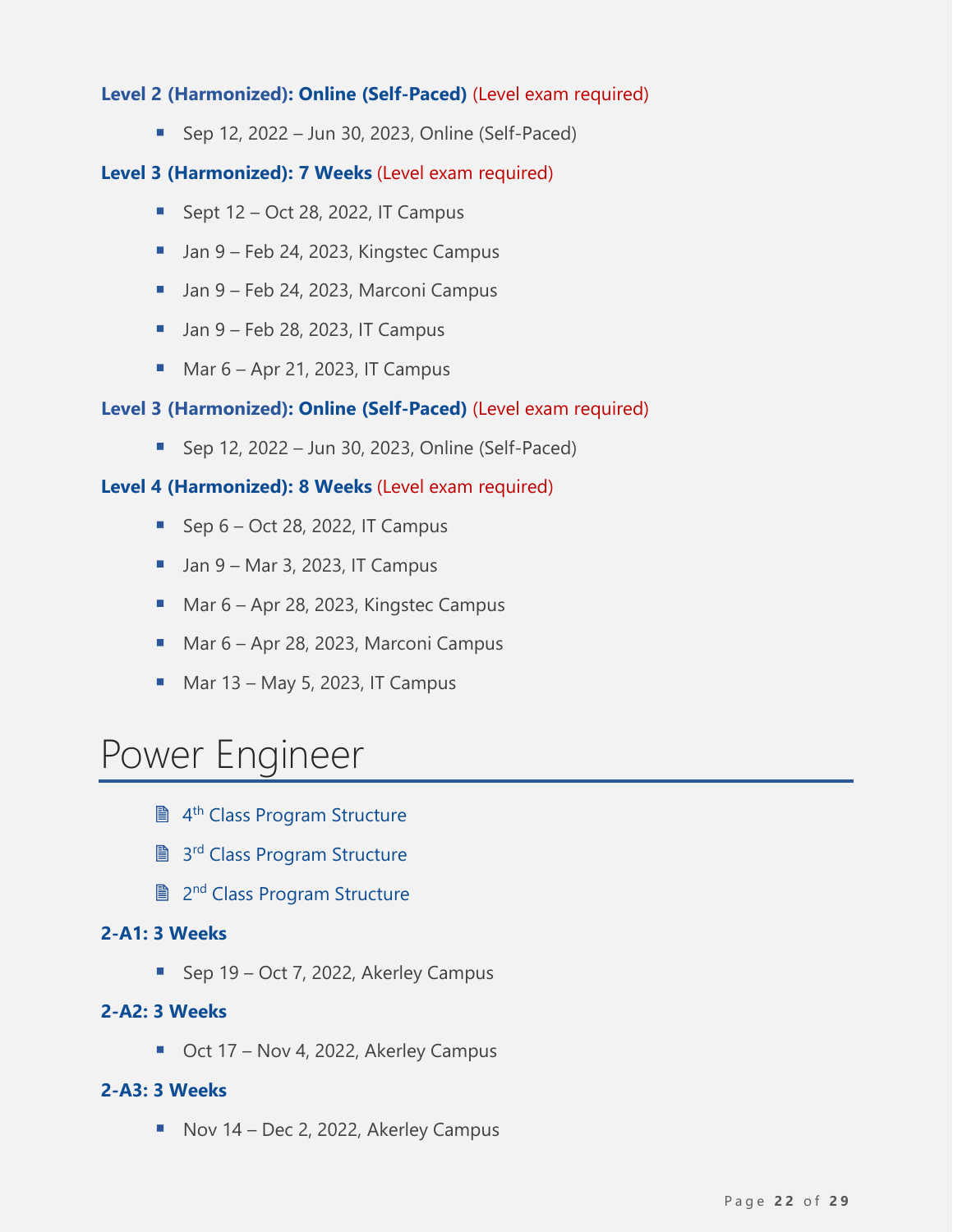#### **Level 2 (Harmonized): Online (Self-Paced)** (Level exam required)

■ Sep 12, 2022 – Jun 30, 2023, Online (Self-Paced)

#### **Level 3 (Harmonized): 7 Weeks** (Level exam required)

- **E** Sept  $12 Oct 28$ , 2022, IT Campus
- Jan 9 Feb 24, 2023, Kingstec Campus
- Jan 9 Feb 24, 2023, Marconi Campus
- $\blacksquare$  Jan 9 Feb 28, 2023, IT Campus
- $\underline{\hspace{1em}}$  Mar 6 Apr 21, 2023, IT Campus

#### **Level 3 (Harmonized): Online (Self-Paced)** (Level exam required)

■ Sep 12, 2022 – Jun 30, 2023, Online (Self-Paced)

#### **Level 4 (Harmonized): 8 Weeks** (Level exam required)

- $\blacksquare$  Sep 6 Oct 28, 2022, IT Campus
- $\blacksquare$  Jan 9 Mar 3, 2023, IT Campus
- Mar 6 Apr 28, 2023, Kingstec Campus
- Mar 6 Apr 28, 2023, Marconi Campus
- $\blacksquare$  Mar 13 May 5, 2023, IT Campus

### <span id="page-21-0"></span>Power Engineer

- **A<sup>th</sup> [Class Program Structure](https://www.nsapprenticeship.ca/sites/default/files/files/PowerEngineer4th.pdf)**
- 3<sup>rd</sup> [Class Program Structure](https://www.nsapprenticeship.ca/sites/default/files/files/PowerEngineer3rd.pdf)
- **A** 2<sup>nd</sup> [Class Program Structure](https://www.nsapprenticeship.ca/sites/default/files/files/PowerEngineer2nd.pdf)

#### **2-A1: 3 Weeks**

■ Sep 19 – Oct 7, 2022, Akerley Campus

#### **2-A2: 3 Weeks**

■ Oct 17 – Nov 4, 2022, Akerley Campus

#### **2-A3: 3 Weeks**

■ Nov 14 – Dec 2, 2022, Akerley Campus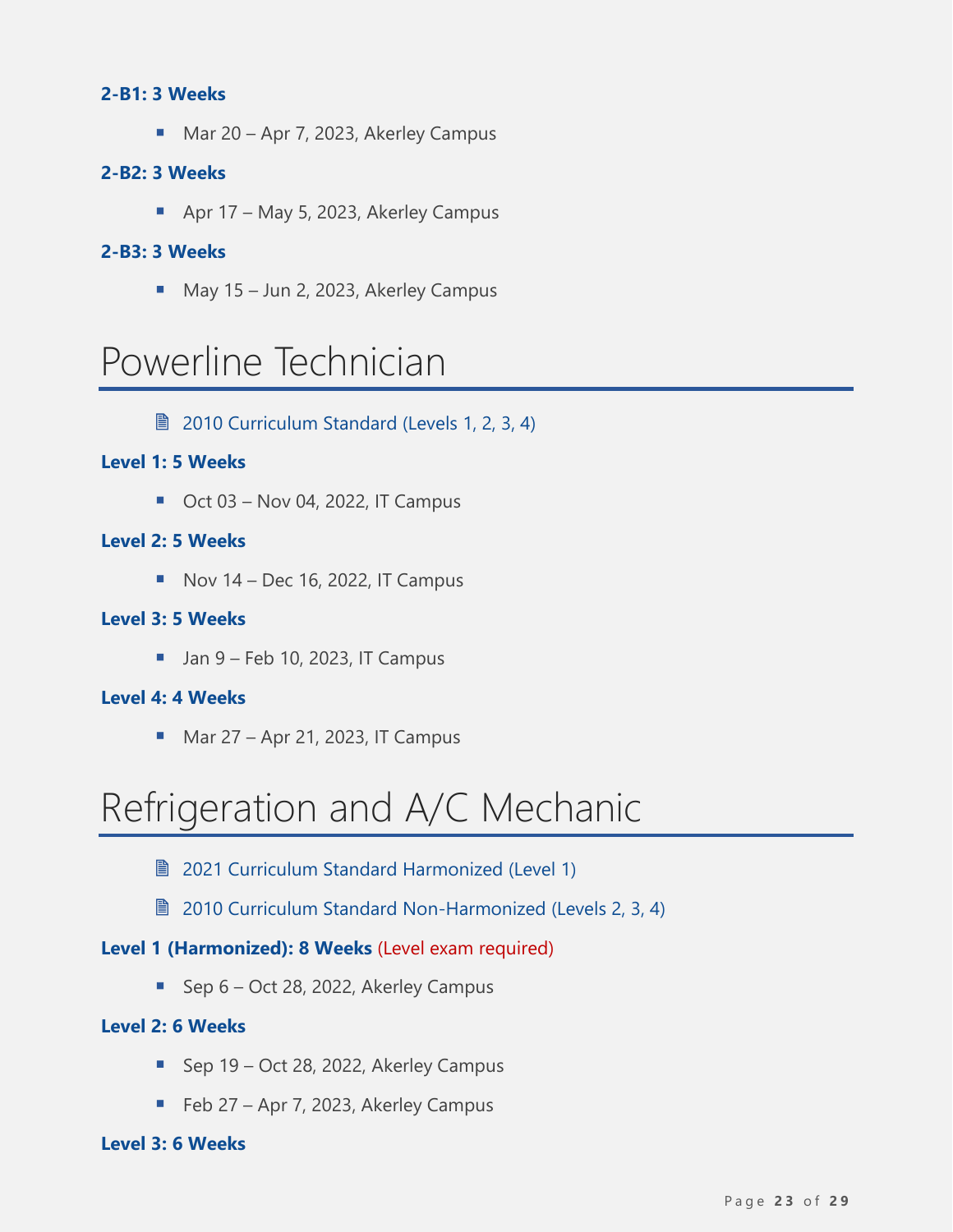#### **2-B1: 3 Weeks**

■ Mar 20 – Apr 7, 2023, Akerley Campus

#### **2-B2: 3 Weeks**

■ Apr 17 – May 5, 2023, Akerley Campus

#### **2-B3: 3 Weeks**

■ May 15 – Jun 2, 2023, Akerley Campus

### <span id="page-22-0"></span>Powerline Technician

**■ [2010 Curriculum Standard \(Levels 1, 2, 3, 4\)](https://www.nsapprenticeship.ca/sites/default/files/files/PowerACS.pdf)** 

#### **Level 1: 5 Weeks**

 $\blacksquare$  Oct 03 – Nov 04, 2022, IT Campus

#### **Level 2: 5 Weeks**

 $\blacksquare$  Nov 14 – Dec 16, 2022, IT Campus

#### **Level 3: 5 Weeks**

 $\blacksquare$  Jan 9 – Feb 10, 2023, IT Campus

#### **Level 4: 4 Weeks**

 $Mar 27 - Apr 21, 2023, IT Campus$ 

### <span id="page-22-1"></span>Refrigeration and A/C Mechanic

- **2021 [Curriculum Standard](https://www.nsapprenticeship.ca/sites/default/files/files/RACMAACS.pdf) Harmonized (Level 1)**
- [2010 Curriculum Standard Non-Harmonized](https://www.nsapprenticeship.ca/sites/default/files/files/RACMIPG.pdf) (Levels 2, 3, 4)

#### **Level 1 (Harmonized): 8 Weeks** (Level exam required)

■ Sep 6 – Oct 28, 2022, Akerley Campus

#### **Level 2: 6 Weeks**

- Sep 19 Oct 28, 2022, Akerley Campus
- Feb 27 Apr 7, 2023, Akerley Campus

#### **Level 3: 6 Weeks**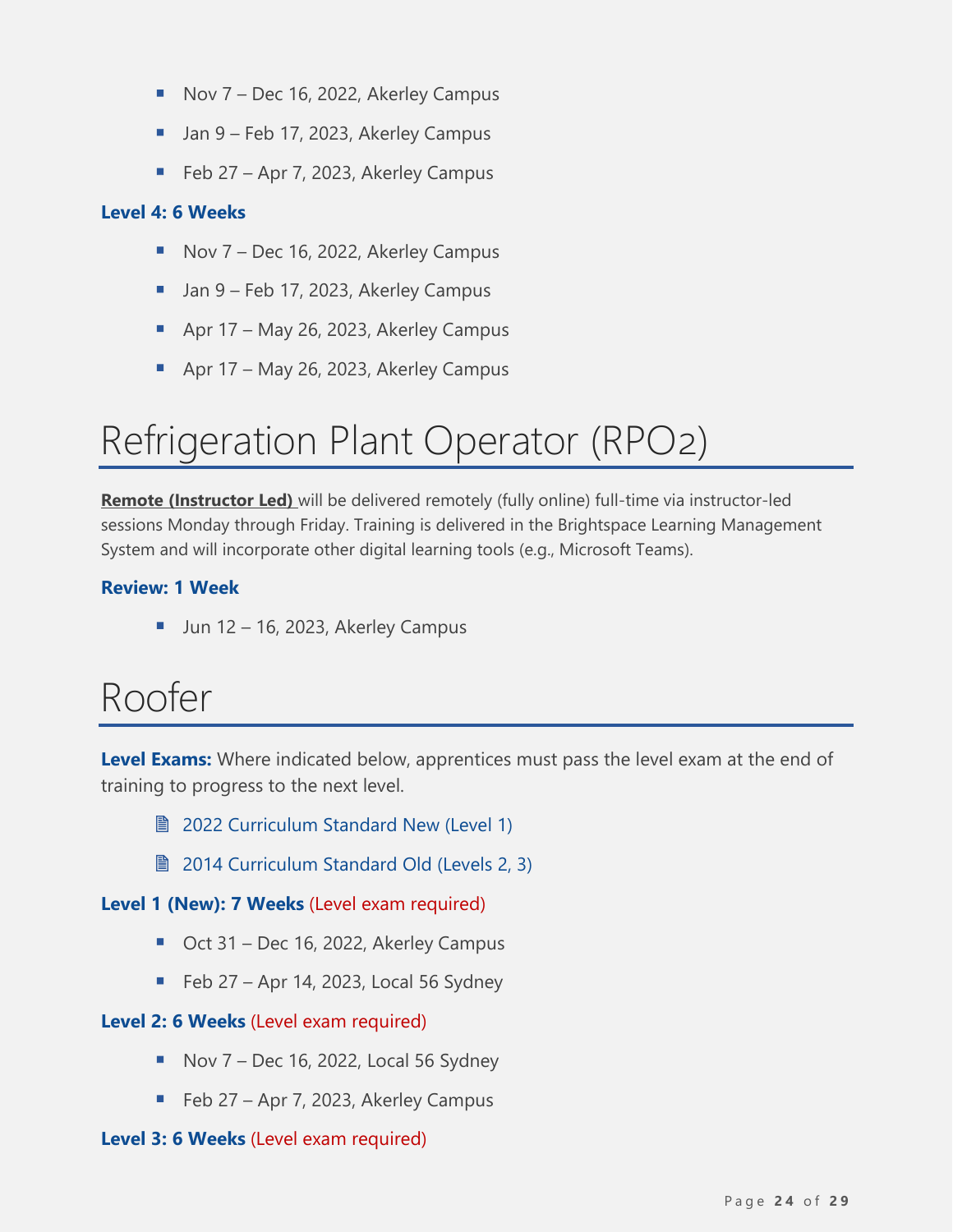- Nov 7 Dec 16, 2022, Akerley Campus
- Jan 9 Feb 17, 2023, Akerley Campus
- Feb 27 Apr 7, 2023, Akerley Campus

#### **Level 4: 6 Weeks**

- Nov 7 Dec 16, 2022, Akerley Campus
- Jan 9 Feb 17, 2023, Akerley Campus
- Apr 17 May 26, 2023, Akerley Campus
- Apr 17 May 26, 2023, Akerley Campus

# <span id="page-23-0"></span>Refrigeration Plant Operator (RPO2)

**Remote (Instructor Led)** will be delivered remotely (fully online) full-time via instructor-led sessions Monday through Friday. Training is delivered in the Brightspace Learning Management System and will incorporate other digital learning tools (e.g., Microsoft Teams).

#### **Review: 1 Week**

 $\blacksquare$  Jun 12 – 16, 2023, Akerley Campus

### <span id="page-23-1"></span>Roofer

**Level Exams:** Where indicated below, apprentices must pass the level exam at the end of training to progress to the next level.

- **[2022 Curriculum Standard New \(Level 1\)](https://www.nsapprenticeship.ca/sites/default/files/files/RooferNSCS.pdf)**
- **[2014 Curriculum Standard Old \(Levels 2, 3\)](https://www.nsapprenticeship.ca/sites/default/files/files/RoofACS.pdf)**

**Level 1 (New): 7 Weeks** (Level exam required)

- Oct 31 Dec 16, 2022, Akerley Campus
- $\blacksquare$  Feb 27 Apr 14, 2023, Local 56 Sydney

#### **Level 2: 6 Weeks** (Level exam required)

- $\blacksquare$  Nov 7 Dec 16, 2022, Local 56 Sydney
- Feb 27 Apr 7, 2023, Akerley Campus

#### **Level 3: 6 Weeks** (Level exam required)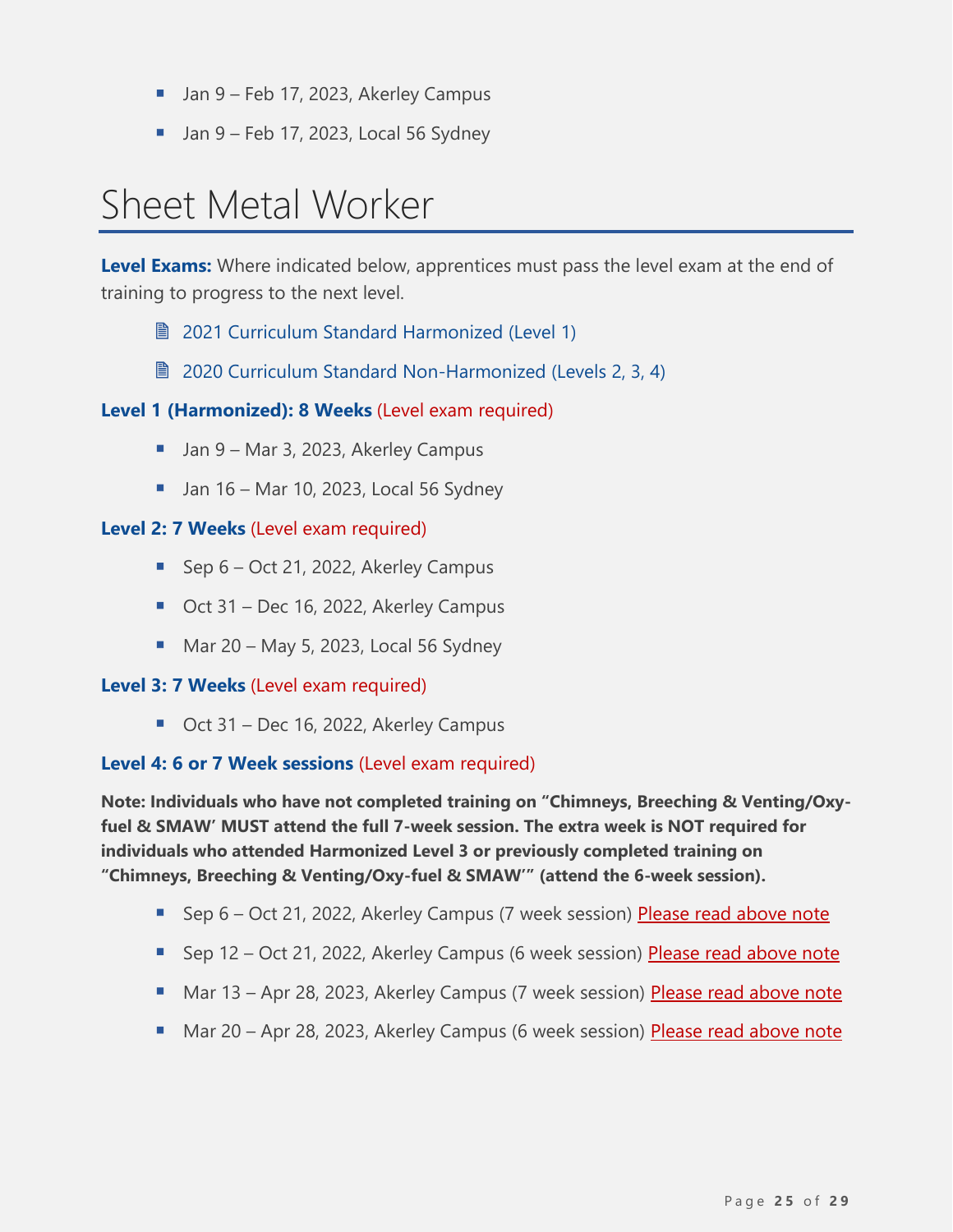- Jan 9 Feb 17, 2023, Akerley Campus
- $\blacksquare$  Jan 9 Feb 17, 2023, Local 56 Sydney

# <span id="page-24-0"></span>Sheet Metal Worker

**Level Exams:** Where indicated below, apprentices must pass the level exam at the end of training to progress to the next level.

- **2021 [Curriculum Standard](https://www.nsapprenticeship.ca/sites/default/files/files/SMAACS.pdf) Harmonized (Level 1)**
- 2020 [Curriculum Standard](https://www.nsapprenticeship.ca/sites/default/files/files/SMNACS.pdf) Non-Harmonized (Levels 2, 3, 4)

#### **Level 1 (Harmonized): 8 Weeks** (Level exam required)

- Jan 9 Mar 3, 2023, Akerley Campus
- $\blacksquare$  Jan 16 Mar 10, 2023, Local 56 Sydney

#### **Level 2: 7 Weeks** (Level exam required)

- Sep 6 Oct 21, 2022, Akerley Campus
- Oct 31 Dec 16, 2022, Akerley Campus
- $\blacksquare$  Mar 20 May 5, 2023, Local 56 Sydney

#### **Level 3: 7 Weeks** (Level exam required)

■ Oct 31 – Dec 16, 2022, Akerley Campus

#### **Level 4: 6 or 7 Week sessions** (Level exam required)

**Note: Individuals who have not completed training on "Chimneys, Breeching & Venting/Oxyfuel & SMAW' MUST attend the full 7-week session. The extra week is NOT required for individuals who attended Harmonized Level 3 or previously completed training on "Chimneys, Breeching & Venting/Oxy-fuel & SMAW'" (attend the 6-week session).**

- Sep 6 Oct 21, 2022, Akerley Campus (7 week session) Please read above note
- Sep 12 Oct 21, 2022, Akerley Campus (6 week session) Please read above note
- Mar 13 Apr 28, 2023, Akerley Campus (7 week session) Please read above note
- Mar 20 Apr 28, 2023, Akerley Campus (6 week session) Please read above note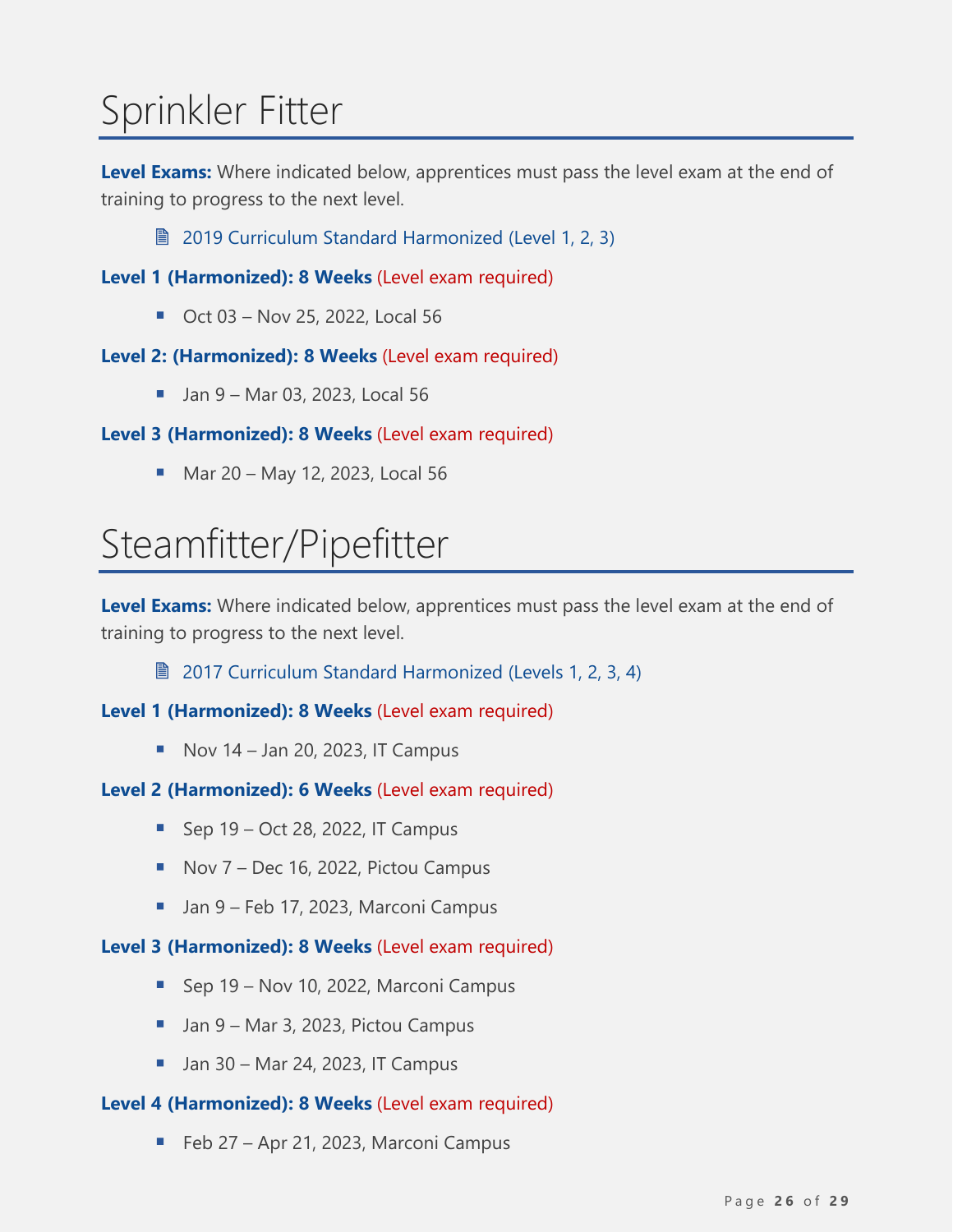# <span id="page-25-0"></span>Sprinkler Fitter

**Level Exams:** Where indicated below, apprentices must pass the level exam at the end of training to progress to the next level.

**■ [2019 Curriculum Standard Harmonized \(Level 1,](https://www.nsapprenticeship.ca/sites/default/files/files/SFAACS.pdf) 2, 3)** 

**Level 1 (Harmonized): 8 Weeks** (Level exam required)

■ Oct 03 – Nov 25, 2022, Local 56

#### **Level 2: (Harmonized): 8 Weeks** (Level exam required)

■ Jan 9 – Mar 03, 2023, Local 56

#### **Level 3 (Harmonized): 8 Weeks** (Level exam required)

■ Mar 20 – May 12, 2023, Local 56

# <span id="page-25-1"></span>Steamfitter/Pipefitter

**Level Exams:** Where indicated below, apprentices must pass the level exam at the end of training to progress to the next level.

■ [2017 Curriculum Standard Harmonized \(Levels 1, 2, 3, 4\)](https://www.nsapprenticeship.ca/sites/default/files/files/SteamAACS.pdf)

#### **Level 1 (Harmonized): 8 Weeks** (Level exam required)

 $\blacksquare$  Nov 14 – Jan 20, 2023, IT Campus

#### **Level 2 (Harmonized): 6 Weeks** (Level exam required)

- $\blacksquare$  Sep 19 Oct 28, 2022, IT Campus
- Nov 7 Dec 16, 2022, Pictou Campus
- Jan 9 Feb 17, 2023, Marconi Campus

#### **Level 3 (Harmonized): 8 Weeks** (Level exam required)

- Sep 19 Nov 10, 2022, Marconi Campus
- Jan 9 Mar 3, 2023, Pictou Campus
- $\blacksquare$  Jan 30 Mar 24, 2023, IT Campus

#### **Level 4 (Harmonized): 8 Weeks** (Level exam required)

■ Feb 27 – Apr 21, 2023, Marconi Campus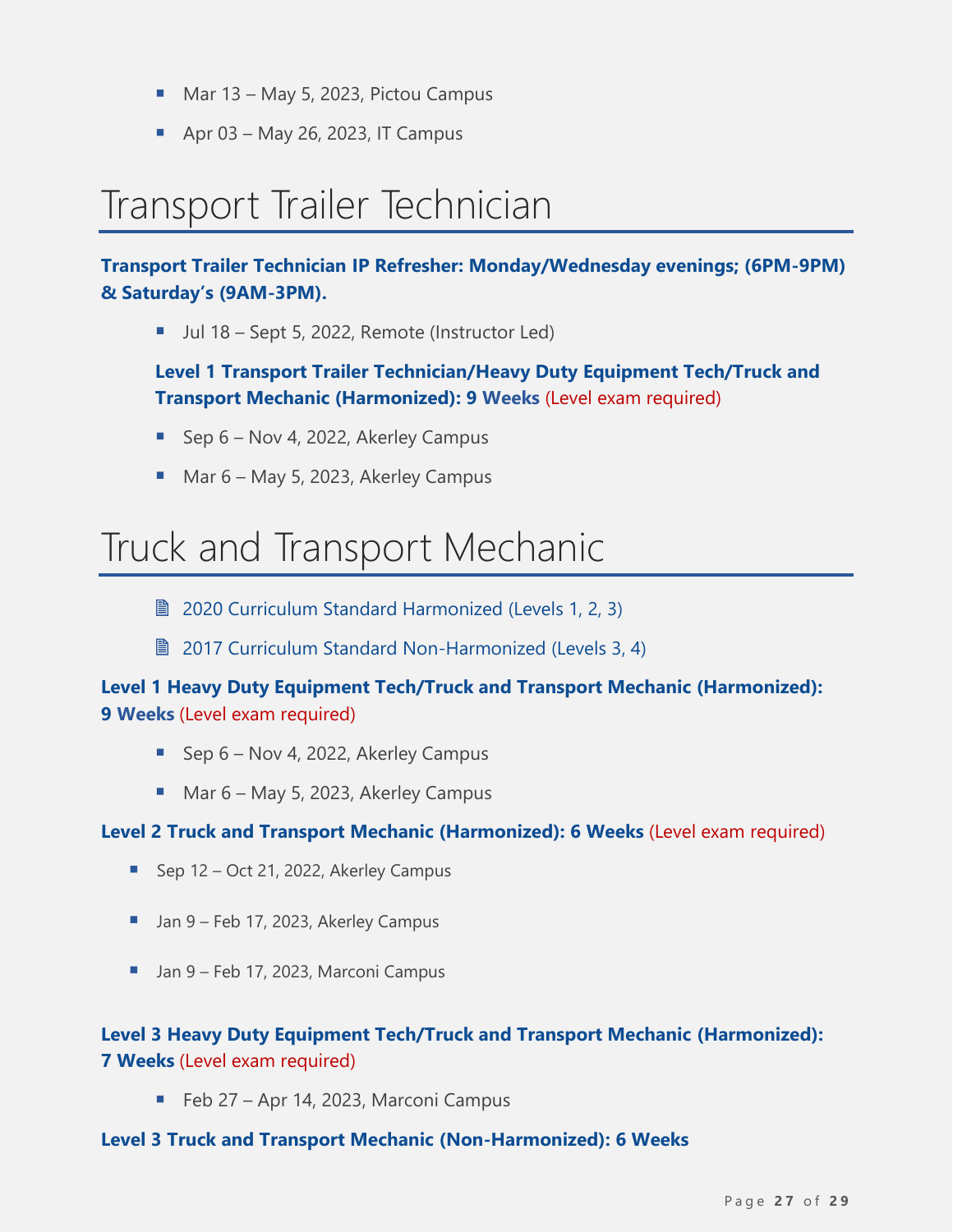- Mar 13 May 5, 2023, Pictou Campus
- $\blacksquare$  Apr 03 May 26, 2023, IT Campus

# <span id="page-26-0"></span>Transport Trailer Technician

**Transport Trailer Technician IP Refresher: Monday/Wednesday evenings; (6PM-9PM) & Saturday's (9AM-3PM).**

■ Jul 18 – Sept 5, 2022, Remote (Instructor Led)

**Level 1 Transport Trailer Technician/Heavy Duty Equipment Tech/Truck and Transport Mechanic (Harmonized): 9 Weeks** (Level exam required)

- Sep 6 Nov 4, 2022, Akerley Campus
- Mar 6 May 5, 2023, Akerley Campus

### <span id="page-26-1"></span>Truck and Transport Mechanic

- **[2020 Curriculum Standard Harmonized \(Levels](https://www.nsapprenticeship.ca/sites/default/files/files/TTMAACS.pdf) 1, 2, 3)**
- 2017 [Curriculum Standard](https://www.nsapprenticeship.ca/sites/default/files/files/TTMNACS.pdf) Non-Harmonized (Levels 3, 4)

#### **Level 1 Heavy Duty Equipment Tech/Truck and Transport Mechanic (Harmonized): 9 Weeks** (Level exam required)

- Sep 6 Nov 4, 2022, Akerley Campus
- Mar 6 May 5, 2023, Akerley Campus

#### **Level 2 Truck and Transport Mechanic (Harmonized): 6 Weeks** (Level exam required)

- Sep 12 Oct 21, 2022, Akerley Campus
- Jan 9 Feb 17, 2023, Akerley Campus
- Jan 9 Feb 17, 2023, Marconi Campus

#### **Level 3 Heavy Duty Equipment Tech/Truck and Transport Mechanic (Harmonized): 7 Weeks** (Level exam required)

■ Feb 27 – Apr 14, 2023, Marconi Campus

#### **Level 3 Truck and Transport Mechanic (Non-Harmonized): 6 Weeks**